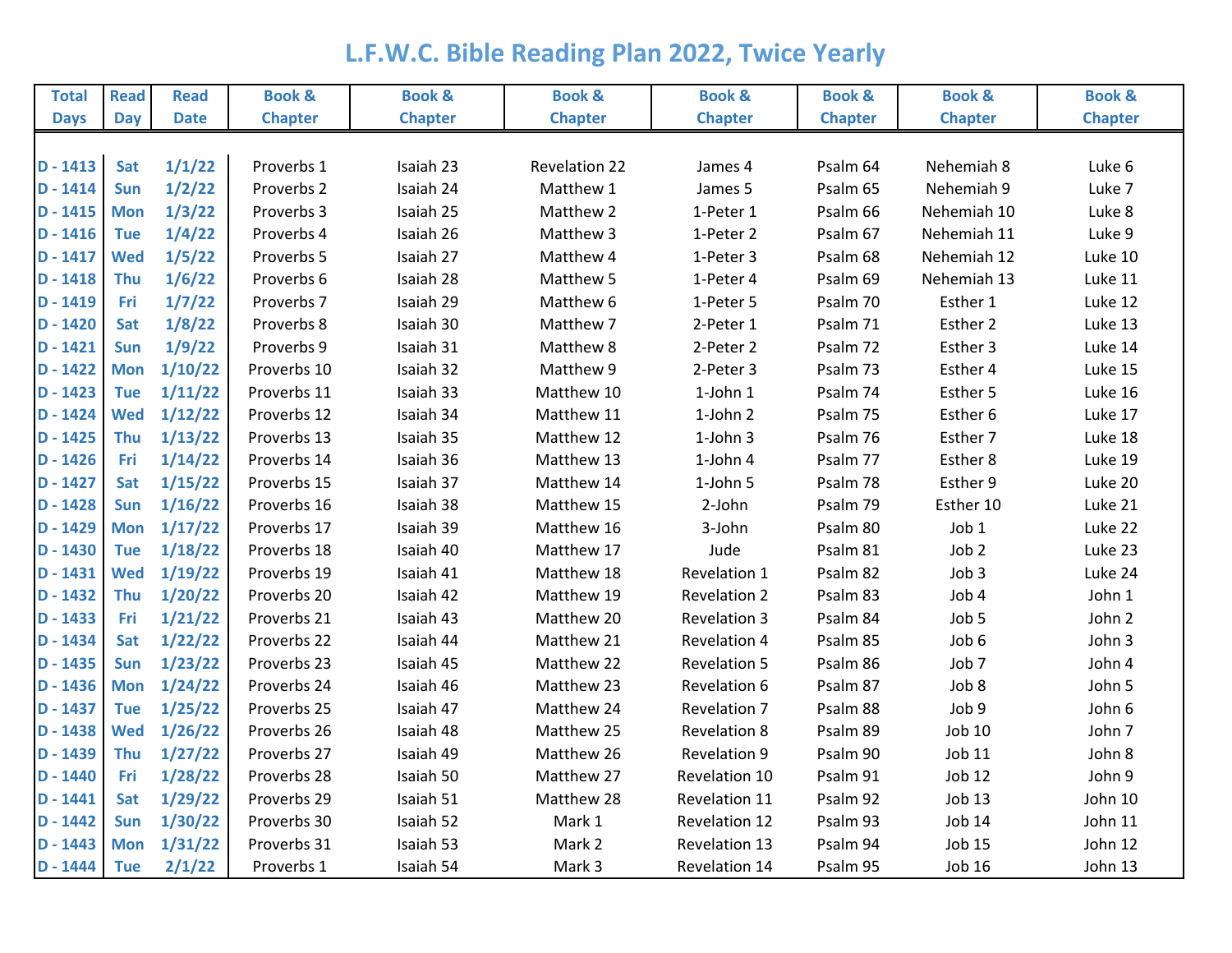| <b>Total</b> | <b>Read</b> | <b>Read</b> | <b>Book &amp;</b> | <b>Book &amp;</b> | <b>Book &amp;</b> | <b>Book &amp;</b>    | <b>Book &amp;</b> | <b>Book &amp;</b> | <b>Book &amp;</b> |
|--------------|-------------|-------------|-------------------|-------------------|-------------------|----------------------|-------------------|-------------------|-------------------|
| <b>Days</b>  | <b>Day</b>  | <b>Date</b> | <b>Chapter</b>    | <b>Chapter</b>    | <b>Chapter</b>    | <b>Chapter</b>       | <b>Chapter</b>    | <b>Chapter</b>    | <b>Chapter</b>    |
|              |             |             |                   |                   |                   |                      |                   |                   |                   |
| $D - 1413$   | Sat         | 1/1/22      | Proverbs 1        | Isaiah 23         | Revelation 22     | James 4              | Psalm 64          | Nehemiah 8        | Luke 6            |
| $D - 1414$   | Sun         | 1/2/22      | Proverbs 2        | Isaiah 24         | Matthew 1         | James 5              | Psalm 65          | Nehemiah 9        | Luke 7            |
| $D - 1415$   | <b>Mon</b>  | 1/3/22      | Proverbs 3        | Isaiah 25         | Matthew 2         | 1-Peter 1            | Psalm 66          | Nehemiah 10       | Luke 8            |
| $D - 1416$   | <b>Tue</b>  | 1/4/22      | Proverbs 4        | Isaiah 26         | Matthew 3         | 1-Peter 2            | Psalm 67          | Nehemiah 11       | Luke 9            |
| $D - 1417$   | <b>Wed</b>  | 1/5/22      | Proverbs 5        | Isaiah 27         | Matthew 4         | 1-Peter 3            | Psalm 68          | Nehemiah 12       | Luke 10           |
| $D - 1418$   | Thu         | 1/6/22      | Proverbs 6        | Isaiah 28         | Matthew 5         | 1-Peter 4            | Psalm 69          | Nehemiah 13       | Luke 11           |
| $D - 1419$   | Fri         | 1/7/22      | Proverbs 7        | Isaiah 29         | Matthew 6         | 1-Peter 5            | Psalm 70          | Esther 1          | Luke 12           |
| $D - 1420$   | Sat         | 1/8/22      | Proverbs 8        | Isaiah 30         | Matthew 7         | 2-Peter 1            | Psalm 71          | Esther 2          | Luke 13           |
| $D - 1421$   | Sun         | 1/9/22      | Proverbs 9        | Isaiah 31         | Matthew 8         | 2-Peter 2            | Psalm 72          | Esther 3          | Luke 14           |
| $D - 1422$   | <b>Mon</b>  | 1/10/22     | Proverbs 10       | Isaiah 32         | Matthew 9         | 2-Peter 3            | Psalm 73          | Esther 4          | Luke 15           |
| $D - 1423$   | <b>Tue</b>  | 1/11/22     | Proverbs 11       | Isaiah 33         | Matthew 10        | 1-John 1             | Psalm 74          | Esther 5          | Luke 16           |
| $D - 1424$   | <b>Wed</b>  | 1/12/22     | Proverbs 12       | Isaiah 34         | Matthew 11        | 1-John 2             | Psalm 75          | Esther 6          | Luke 17           |
| $D - 1425$   | Thu         | 1/13/22     | Proverbs 13       | Isaiah 35         | Matthew 12        | 1-John 3             | Psalm 76          | Esther 7          | Luke 18           |
| $D - 1426$   | Fri         | 1/14/22     | Proverbs 14       | Isaiah 36         | Matthew 13        | 1-John 4             | Psalm 77          | Esther 8          | Luke 19           |
| $D - 1427$   | Sat         | 1/15/22     | Proverbs 15       | Isaiah 37         | Matthew 14        | 1-John 5             | Psalm 78          | Esther 9          | Luke 20           |
| $D - 1428$   | <b>Sun</b>  | 1/16/22     | Proverbs 16       | Isaiah 38         | Matthew 15        | 2-John               | Psalm 79          | Esther 10         | Luke 21           |
| $D - 1429$   | <b>Mon</b>  | 1/17/22     | Proverbs 17       | Isaiah 39         | Matthew 16        | 3-John               | Psalm 80          | Job 1             | Luke 22           |
| $D - 1430$   | <b>Tue</b>  | 1/18/22     | Proverbs 18       | Isaiah 40         | Matthew 17        | Jude                 | Psalm 81          | Job 2             | Luke 23           |
| $D - 1431$   | <b>Wed</b>  | 1/19/22     | Proverbs 19       | Isaiah 41         | Matthew 18        | Revelation 1         | Psalm 82          | Job 3             | Luke 24           |
| $D - 1432$   | Thu         | 1/20/22     | Proverbs 20       | Isaiah 42         | Matthew 19        | Revelation 2         | Psalm 83          | Job 4             | John 1            |
| $D - 1433$   | Fri         | 1/21/22     | Proverbs 21       | Isaiah 43         | Matthew 20        | <b>Revelation 3</b>  | Psalm 84          | Job 5             | John 2            |
| $D - 1434$   | Sat         | 1/22/22     | Proverbs 22       | Isaiah 44         | Matthew 21        | Revelation 4         | Psalm 85          | Job 6             | John 3            |
| $D - 1435$   | Sun         | 1/23/22     | Proverbs 23       | Isaiah 45         | Matthew 22        | <b>Revelation 5</b>  | Psalm 86          | Job 7             | John 4            |
| $D - 1436$   | <b>Mon</b>  | 1/24/22     | Proverbs 24       | Isaiah 46         | Matthew 23        | Revelation 6         | Psalm 87          | Job 8             | John 5            |
| $D - 1437$   | <b>Tue</b>  | 1/25/22     | Proverbs 25       | Isaiah 47         | Matthew 24        | Revelation 7         | Psalm 88          | Job 9             | John 6            |
| $D - 1438$   | <b>Wed</b>  | 1/26/22     | Proverbs 26       | Isaiah 48         | Matthew 25        | <b>Revelation 8</b>  | Psalm 89          | <b>Job 10</b>     | John 7            |
| $D - 1439$   | Thu         | 1/27/22     | Proverbs 27       | Isaiah 49         | Matthew 26        | Revelation 9         | Psalm 90          | Job 11            | John 8            |
| $D - 1440$   | Fri         | 1/28/22     | Proverbs 28       | Isaiah 50         | Matthew 27        | Revelation 10        | Psalm 91          | Job 12            | John 9            |
| $D - 1441$   | Sat         | 1/29/22     | Proverbs 29       | Isaiah 51         | Matthew 28        | Revelation 11        | Psalm 92          | Job 13            | John 10           |
| $D - 1442$   | Sun         | 1/30/22     | Proverbs 30       | Isaiah 52         | Mark 1            | Revelation 12        | Psalm 93          | Job 14            | John 11           |
| $D - 1443$   | <b>Mon</b>  | 1/31/22     | Proverbs 31       | Isaiah 53         | Mark 2            | Revelation 13        | Psalm 94          | Job 15            | John 12           |
| $D - 1444$   | <b>Tue</b>  | 2/1/22      | Proverbs 1        | Isaiah 54         | Mark 3            | <b>Revelation 14</b> | Psalm 95          | Job 16            | John 13           |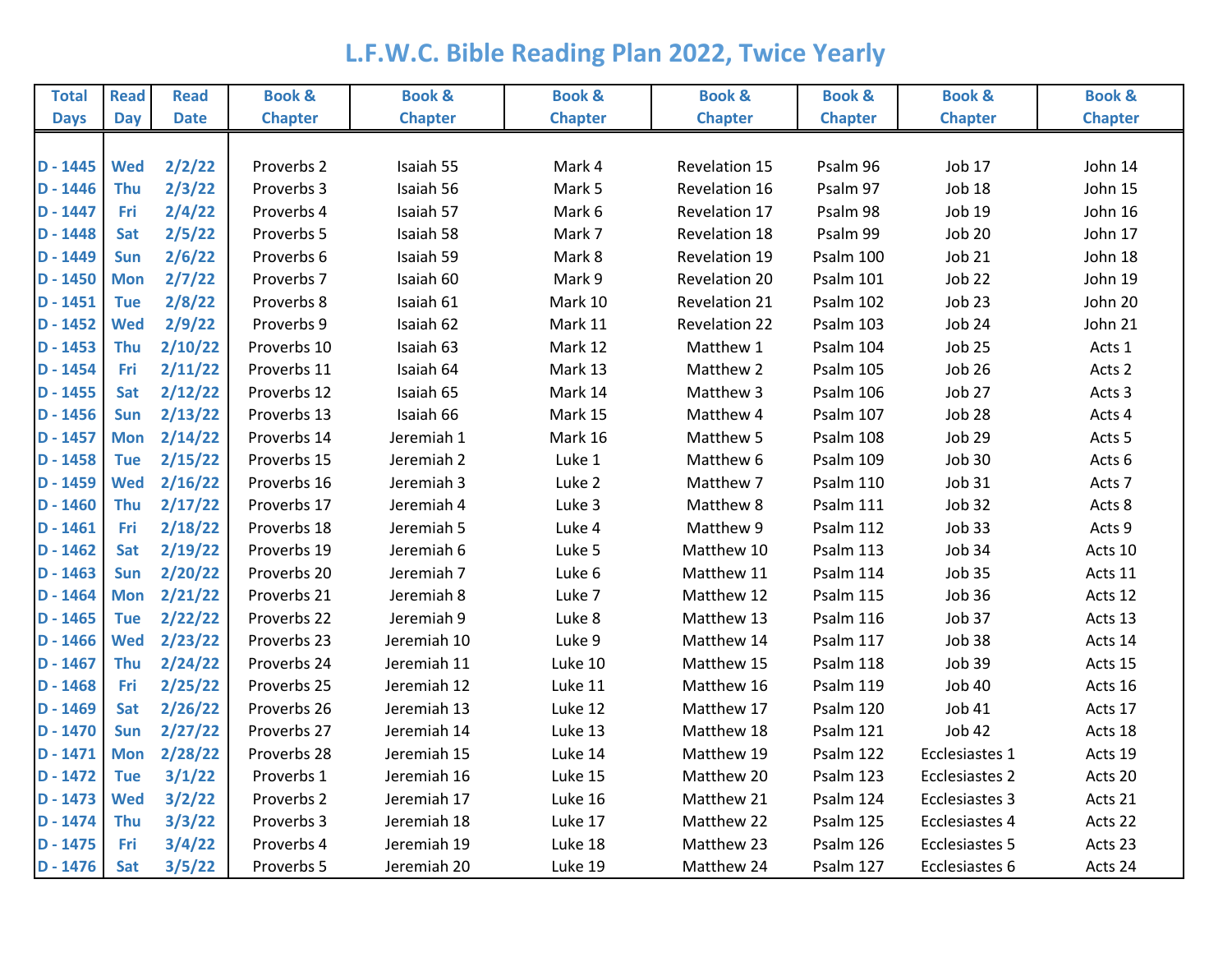| <b>Total</b> | <b>Read</b> | <b>Read</b> | <b>Book &amp;</b> | <b>Book &amp;</b> | <b>Book &amp;</b> | <b>Book &amp;</b>    | <b>Book &amp;</b> | <b>Book &amp;</b> | <b>Book &amp;</b> |
|--------------|-------------|-------------|-------------------|-------------------|-------------------|----------------------|-------------------|-------------------|-------------------|
| <b>Days</b>  | <b>Day</b>  | <b>Date</b> | <b>Chapter</b>    | <b>Chapter</b>    | <b>Chapter</b>    | <b>Chapter</b>       | <b>Chapter</b>    | <b>Chapter</b>    | <b>Chapter</b>    |
|              |             |             |                   |                   |                   |                      |                   |                   |                   |
| $D - 1445$   | <b>Wed</b>  | 2/2/22      | Proverbs 2        | Isaiah 55         | Mark 4            | Revelation 15        | Psalm 96          | Job 17            | John 14           |
| $D - 1446$   | Thu         | 2/3/22      | Proverbs 3        | Isaiah 56         | Mark 5            | Revelation 16        | Psalm 97          | Job 18            | John 15           |
| $D - 1447$   | Fri         | 2/4/22      | Proverbs 4        | Isaiah 57         | Mark 6            | Revelation 17        | Psalm 98          | Job 19            | John 16           |
| $D - 1448$   | Sat         | 2/5/22      | Proverbs 5        | Isaiah 58         | Mark 7            | Revelation 18        | Psalm 99          | <b>Job 20</b>     | John 17           |
| $D - 1449$   | Sun         | 2/6/22      | Proverbs 6        | Isaiah 59         | Mark 8            | Revelation 19        | Psalm 100         | Job 21            | John 18           |
| $D - 1450$   | <b>Mon</b>  | 2/7/22      | Proverbs 7        | Isaiah 60         | Mark 9            | Revelation 20        | Psalm 101         | Job 22            | John 19           |
| $D - 1451$   | <b>Tue</b>  | 2/8/22      | Proverbs 8        | Isaiah 61         | Mark 10           | Revelation 21        | Psalm 102         | Job 23            | John 20           |
| $D - 1452$   | <b>Wed</b>  | 2/9/22      | Proverbs 9        | Isaiah 62         | Mark 11           | <b>Revelation 22</b> | Psalm 103         | Job 24            | John 21           |
| $D - 1453$   | Thu         | 2/10/22     | Proverbs 10       | Isaiah 63         | Mark 12           | Matthew 1            | Psalm 104         | Job 25            | Acts 1            |
| $D - 1454$   | Fri         | 2/11/22     | Proverbs 11       | Isaiah 64         | Mark 13           | Matthew 2            | Psalm 105         | Job 26            | Acts 2            |
| $D - 1455$   | Sat         | 2/12/22     | Proverbs 12       | Isaiah 65         | Mark 14           | Matthew 3            | Psalm 106         | Job 27            | Acts 3            |
| $D - 1456$   | Sun         | 2/13/22     | Proverbs 13       | Isaiah 66         | Mark 15           | Matthew 4            | Psalm 107         | Job 28            | Acts 4            |
| $D - 1457$   | <b>Mon</b>  | 2/14/22     | Proverbs 14       | Jeremiah 1        | Mark 16           | Matthew 5            | Psalm 108         | Job 29            | Acts 5            |
| $D - 1458$   | <b>Tue</b>  | 2/15/22     | Proverbs 15       | Jeremiah 2        | Luke 1            | Matthew 6            | Psalm 109         | Job 30            | Acts <sub>6</sub> |
| $D - 1459$   | <b>Wed</b>  | 2/16/22     | Proverbs 16       | Jeremiah 3        | Luke 2            | Matthew 7            | Psalm 110         | Job 31            | Acts 7            |
| $D - 1460$   | Thu         | 2/17/22     | Proverbs 17       | Jeremiah 4        | Luke 3            | Matthew 8            | Psalm 111         | Job 32            | Acts 8            |
| $D - 1461$   | Fri         | 2/18/22     | Proverbs 18       | Jeremiah 5        | Luke 4            | Matthew 9            | Psalm 112         | Job 33            | Acts 9            |
| $D - 1462$   | Sat         | 2/19/22     | Proverbs 19       | Jeremiah 6        | Luke 5            | Matthew 10           | Psalm 113         | Job 34            | Acts 10           |
| $D - 1463$   | Sun         | 2/20/22     | Proverbs 20       | Jeremiah 7        | Luke 6            | Matthew 11           | Psalm 114         | <b>Job 35</b>     | Acts 11           |
| $D - 1464$   | <b>Mon</b>  | 2/21/22     | Proverbs 21       | Jeremiah 8        | Luke 7            | Matthew 12           | Psalm 115         | Job 36            | Acts 12           |
| $D - 1465$   | <b>Tue</b>  | 2/22/22     | Proverbs 22       | Jeremiah 9        | Luke 8            | Matthew 13           | Psalm 116         | Job 37            | Acts 13           |
| $D - 1466$   | <b>Wed</b>  | 2/23/22     | Proverbs 23       | Jeremiah 10       | Luke 9            | Matthew 14           | Psalm 117         | Job 38            | Acts 14           |
| $D - 1467$   | Thu         | 2/24/22     | Proverbs 24       | Jeremiah 11       | Luke 10           | Matthew 15           | Psalm 118         | Job 39            | Acts 15           |
| $D - 1468$   | Fri         | 2/25/22     | Proverbs 25       | Jeremiah 12       | Luke 11           | Matthew 16           | Psalm 119         | <b>Job 40</b>     | Acts 16           |
| $D - 1469$   | Sat         | 2/26/22     | Proverbs 26       | Jeremiah 13       | Luke 12           | Matthew 17           | Psalm 120         | Job 41            | Acts 17           |
| $D - 1470$   | Sun         | 2/27/22     | Proverbs 27       | Jeremiah 14       | Luke 13           | Matthew 18           | Psalm 121         | Job 42            | Acts 18           |
| $D - 1471$   | <b>Mon</b>  | 2/28/22     | Proverbs 28       | Jeremiah 15       | Luke 14           | Matthew 19           | Psalm 122         | Ecclesiastes 1    | Acts 19           |
| $D - 1472$   | <b>Tue</b>  | 3/1/22      | Proverbs 1        | Jeremiah 16       | Luke 15           | Matthew 20           | Psalm 123         | Ecclesiastes 2    | Acts 20           |
| $D - 1473$   | <b>Wed</b>  | 3/2/22      | Proverbs 2        | Jeremiah 17       | Luke 16           | Matthew 21           | Psalm 124         | Ecclesiastes 3    | Acts 21           |
| $D - 1474$   | Thu         | 3/3/22      | Proverbs 3        | Jeremiah 18       | Luke 17           | Matthew 22           | Psalm 125         | Ecclesiastes 4    | Acts 22           |
| $D - 1475$   | Fri         | 3/4/22      | Proverbs 4        | Jeremiah 19       | Luke 18           | Matthew 23           | Psalm 126         | Ecclesiastes 5    | Acts 23           |
| $D - 1476$   | Sat         | 3/5/22      | Proverbs 5        | Jeremiah 20       | Luke 19           | Matthew 24           | Psalm 127         | Ecclesiastes 6    | Acts 24           |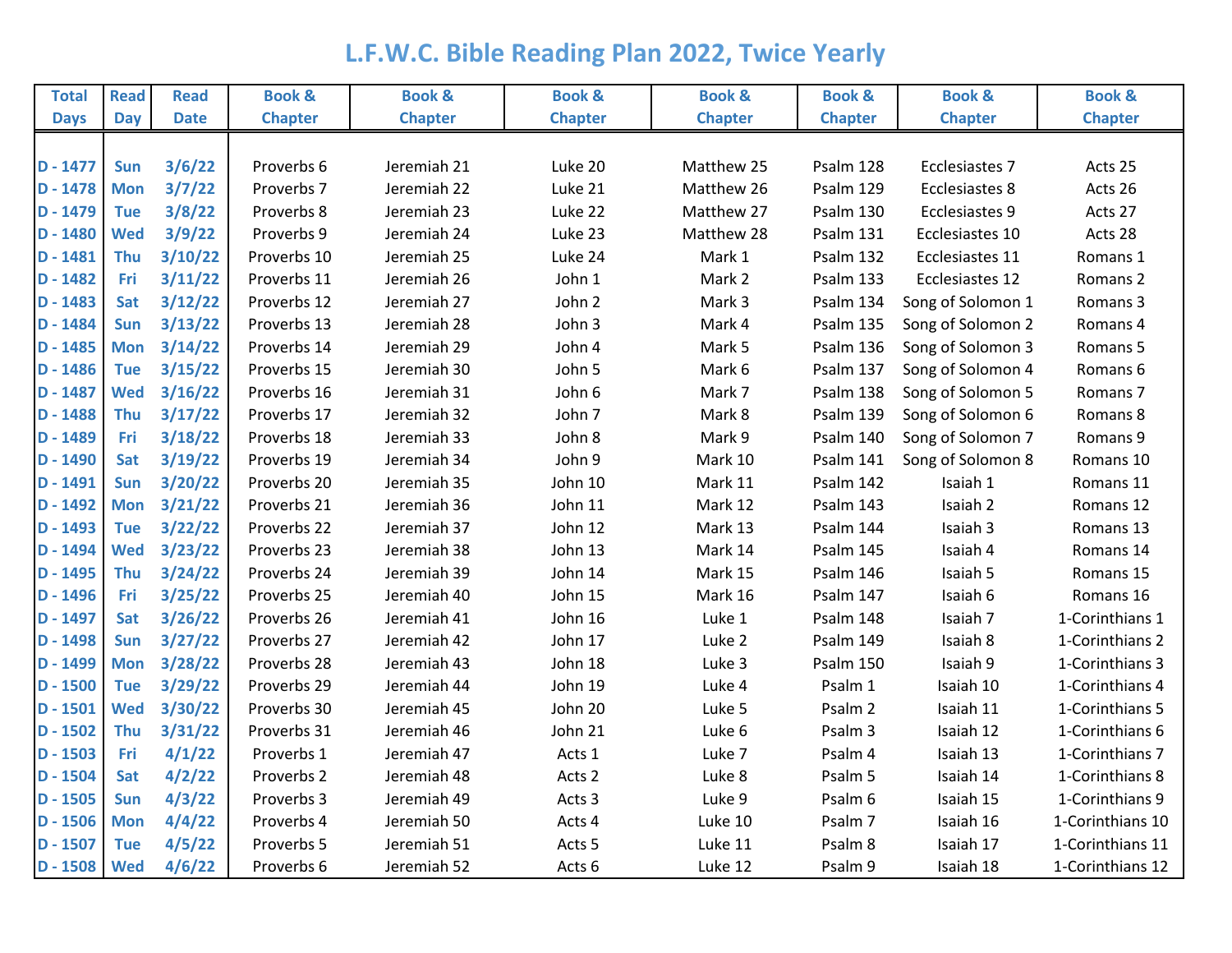| <b>Total</b> | <b>Read</b> | <b>Read</b> | <b>Book &amp;</b> | <b>Book &amp;</b> | <b>Book &amp;</b> | <b>Book &amp;</b> | <b>Book &amp;</b> | <b>Book &amp;</b> | <b>Book &amp;</b>   |
|--------------|-------------|-------------|-------------------|-------------------|-------------------|-------------------|-------------------|-------------------|---------------------|
| <b>Days</b>  | <b>Day</b>  | <b>Date</b> | <b>Chapter</b>    | <b>Chapter</b>    | <b>Chapter</b>    | <b>Chapter</b>    | <b>Chapter</b>    | <b>Chapter</b>    | <b>Chapter</b>      |
|              |             |             |                   |                   |                   |                   |                   |                   |                     |
| $D - 1477$   | Sun         | 3/6/22      | Proverbs 6        | Jeremiah 21       | Luke 20           | Matthew 25        | Psalm 128         | Ecclesiastes 7    | Acts 25             |
| $D - 1478$   | <b>Mon</b>  | 3/7/22      | Proverbs 7        | Jeremiah 22       | Luke 21           | Matthew 26        | Psalm 129         | Ecclesiastes 8    | Acts 26             |
| $D - 1479$   | <b>Tue</b>  | 3/8/22      | Proverbs 8        | Jeremiah 23       | Luke 22           | Matthew 27        | Psalm 130         | Ecclesiastes 9    | Acts 27             |
| $D - 1480$   | <b>Wed</b>  | 3/9/22      | Proverbs 9        | Jeremiah 24       | Luke 23           | Matthew 28        | Psalm 131         | Ecclesiastes 10   | Acts 28             |
| $D - 1481$   | Thu         | 3/10/22     | Proverbs 10       | Jeremiah 25       | Luke 24           | Mark 1            | Psalm 132         | Ecclesiastes 11   | Romans 1            |
| $D - 1482$   | Fri         | 3/11/22     | Proverbs 11       | Jeremiah 26       | John 1            | Mark 2            | Psalm 133         | Ecclesiastes 12   | Romans <sub>2</sub> |
| $D - 1483$   | Sat         | 3/12/22     | Proverbs 12       | Jeremiah 27       | John 2            | Mark 3            | Psalm 134         | Song of Solomon 1 | Romans 3            |
| $D - 1484$   | Sun         | 3/13/22     | Proverbs 13       | Jeremiah 28       | John 3            | Mark 4            | Psalm 135         | Song of Solomon 2 | Romans 4            |
| $D - 1485$   | <b>Mon</b>  | 3/14/22     | Proverbs 14       | Jeremiah 29       | John 4            | Mark 5            | Psalm 136         | Song of Solomon 3 | Romans 5            |
| $D - 1486$   | <b>Tue</b>  | 3/15/22     | Proverbs 15       | Jeremiah 30       | John 5            | Mark 6            | Psalm 137         | Song of Solomon 4 | Romans 6            |
| $D - 1487$   | <b>Wed</b>  | 3/16/22     | Proverbs 16       | Jeremiah 31       | John 6            | Mark 7            | Psalm 138         | Song of Solomon 5 | Romans <sub>7</sub> |
| $D - 1488$   | Thu         | 3/17/22     | Proverbs 17       | Jeremiah 32       | John 7            | Mark 8            | Psalm 139         | Song of Solomon 6 | Romans 8            |
| $D - 1489$   | Fri         | 3/18/22     | Proverbs 18       | Jeremiah 33       | John 8            | Mark 9            | Psalm 140         | Song of Solomon 7 | Romans 9            |
| $D - 1490$   | <b>Sat</b>  | 3/19/22     | Proverbs 19       | Jeremiah 34       | John 9            | Mark 10           | Psalm 141         | Song of Solomon 8 | Romans 10           |
| $D - 1491$   | Sun         | 3/20/22     | Proverbs 20       | Jeremiah 35       | John 10           | Mark 11           | Psalm 142         | Isaiah 1          | Romans 11           |
| $D - 1492$   | <b>Mon</b>  | 3/21/22     | Proverbs 21       | Jeremiah 36       | John 11           | Mark 12           | Psalm 143         | Isaiah 2          | Romans 12           |
| $D - 1493$   | <b>Tue</b>  | 3/22/22     | Proverbs 22       | Jeremiah 37       | John 12           | Mark 13           | Psalm 144         | Isaiah 3          | Romans 13           |
| $D - 1494$   | <b>Wed</b>  | 3/23/22     | Proverbs 23       | Jeremiah 38       | John 13           | Mark 14           | Psalm 145         | Isaiah 4          | Romans 14           |
| $D - 1495$   | Thu         | 3/24/22     | Proverbs 24       | Jeremiah 39       | John 14           | Mark 15           | Psalm 146         | Isaiah 5          | Romans 15           |
| $D - 1496$   | Fri         | 3/25/22     | Proverbs 25       | Jeremiah 40       | John 15           | Mark 16           | Psalm 147         | Isaiah 6          | Romans 16           |
| $D - 1497$   | Sat         | 3/26/22     | Proverbs 26       | Jeremiah 41       | John 16           | Luke 1            | Psalm 148         | Isaiah 7          | 1-Corinthians 1     |
| $D - 1498$   | Sun         | 3/27/22     | Proverbs 27       | Jeremiah 42       | John 17           | Luke 2            | Psalm 149         | Isaiah 8          | 1-Corinthians 2     |
| $D - 1499$   | <b>Mon</b>  | 3/28/22     | Proverbs 28       | Jeremiah 43       | John 18           | Luke 3            | Psalm 150         | Isaiah 9          | 1-Corinthians 3     |
| $D - 1500$   | <b>Tue</b>  | 3/29/22     | Proverbs 29       | Jeremiah 44       | John 19           | Luke 4            | Psalm 1           | Isaiah 10         | 1-Corinthians 4     |
| $D - 1501$   | <b>Wed</b>  | 3/30/22     | Proverbs 30       | Jeremiah 45       | John 20           | Luke 5            | Psalm 2           | Isaiah 11         | 1-Corinthians 5     |
| $D - 1502$   | Thu         | 3/31/22     | Proverbs 31       | Jeremiah 46       | John 21           | Luke 6            | Psalm 3           | Isaiah 12         | 1-Corinthians 6     |
| $D - 1503$   | Fri         | 4/1/22      | Proverbs 1        | Jeremiah 47       | Acts 1            | Luke 7            | Psalm 4           | Isaiah 13         | 1-Corinthians 7     |
| $D - 1504$   | Sat         | 4/2/22      | Proverbs 2        | Jeremiah 48       | Acts 2            | Luke 8            | Psalm 5           | Isaiah 14         | 1-Corinthians 8     |
| $D - 1505$   | Sun         | 4/3/22      | Proverbs 3        | Jeremiah 49       | Acts 3            | Luke 9            | Psalm 6           | Isaiah 15         | 1-Corinthians 9     |
| $D - 1506$   | <b>Mon</b>  | 4/4/22      | Proverbs 4        | Jeremiah 50       | Acts 4            | Luke 10           | Psalm 7           | Isaiah 16         | 1-Corinthians 10    |
| $D - 1507$   | <b>Tue</b>  | 4/5/22      | Proverbs 5        | Jeremiah 51       | Acts <sub>5</sub> | Luke 11           | Psalm 8           | Isaiah 17         | 1-Corinthians 11    |
| $D - 1508$   | <b>Wed</b>  | 4/6/22      | Proverbs 6        | Jeremiah 52       | Acts 6            | Luke 12           | Psalm 9           | Isaiah 18         | 1-Corinthians 12    |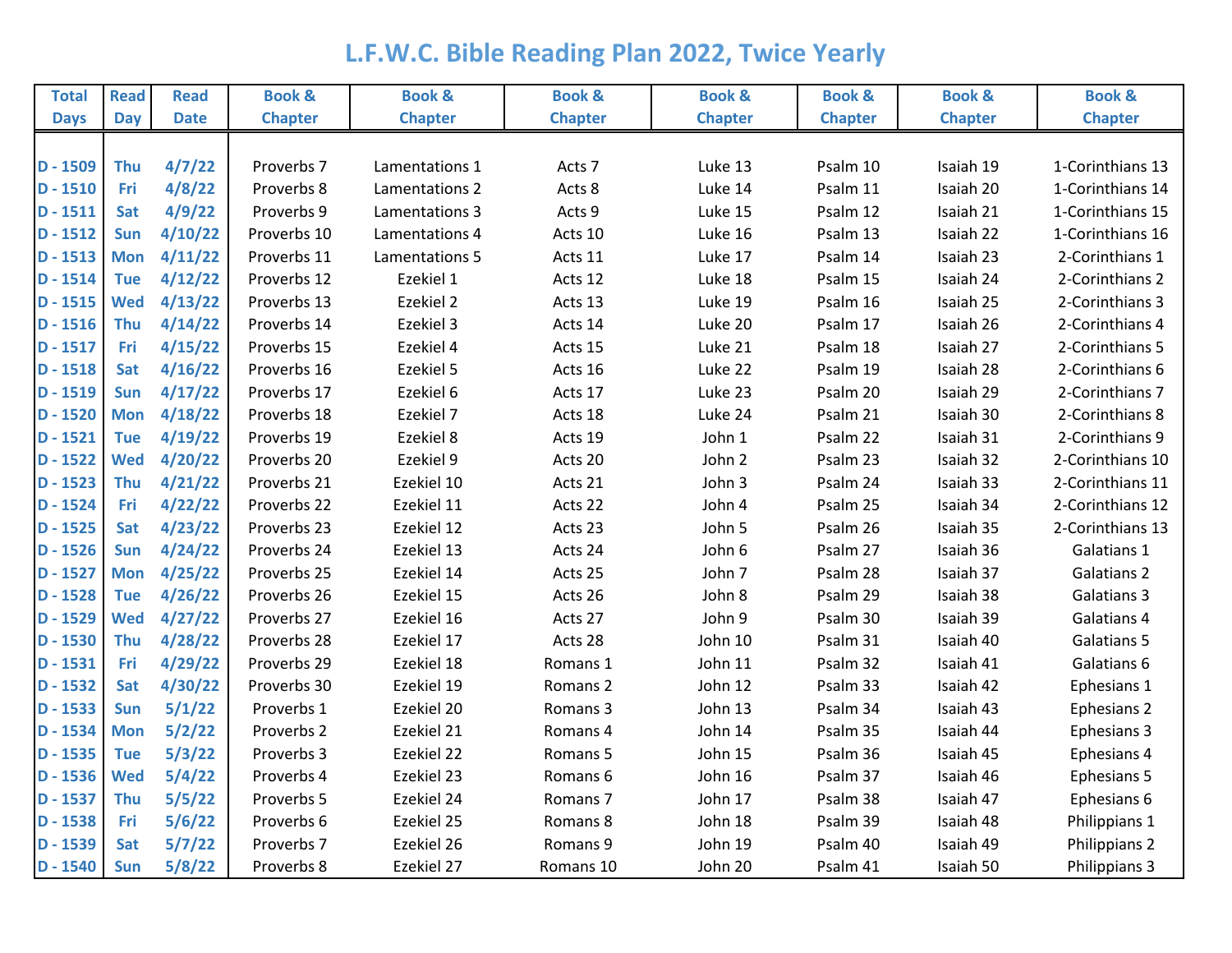| <b>Total</b> | <b>Read</b> | <b>Read</b> | <b>Book &amp;</b> | <b>Book &amp;</b> | <b>Book &amp;</b>   | <b>Book &amp;</b> | <b>Book &amp;</b> | <b>Book &amp;</b> | <b>Book &amp;</b>  |
|--------------|-------------|-------------|-------------------|-------------------|---------------------|-------------------|-------------------|-------------------|--------------------|
| <b>Days</b>  | <b>Day</b>  | <b>Date</b> | <b>Chapter</b>    | <b>Chapter</b>    | <b>Chapter</b>      | <b>Chapter</b>    | <b>Chapter</b>    | <b>Chapter</b>    | <b>Chapter</b>     |
|              |             |             |                   |                   |                     |                   |                   |                   |                    |
| $D - 1509$   | Thu         | 4/7/22      | Proverbs 7        | Lamentations 1    | Acts 7              | Luke 13           | Psalm 10          | Isaiah 19         | 1-Corinthians 13   |
| $D - 1510$   | Fri         | 4/8/22      | Proverbs 8        | Lamentations 2    | Acts 8              | Luke 14           | Psalm 11          | Isaiah 20         | 1-Corinthians 14   |
| $D - 1511$   | Sat         | 4/9/22      | Proverbs 9        | Lamentations 3    | Acts 9              | Luke 15           | Psalm 12          | Isaiah 21         | 1-Corinthians 15   |
| $D - 1512$   | Sun         | 4/10/22     | Proverbs 10       | Lamentations 4    | Acts 10             | Luke 16           | Psalm 13          | Isaiah 22         | 1-Corinthians 16   |
| $D - 1513$   | <b>Mon</b>  | 4/11/22     | Proverbs 11       | Lamentations 5    | Acts 11             | Luke 17           | Psalm 14          | Isaiah 23         | 2-Corinthians 1    |
| $D - 1514$   | <b>Tue</b>  | 4/12/22     | Proverbs 12       | Ezekiel 1         | Acts 12             | Luke 18           | Psalm 15          | Isaiah 24         | 2-Corinthians 2    |
| $D - 1515$   | <b>Wed</b>  | 4/13/22     | Proverbs 13       | Ezekiel 2         | Acts 13             | Luke 19           | Psalm 16          | Isaiah 25         | 2-Corinthians 3    |
| $D - 1516$   | Thu         | 4/14/22     | Proverbs 14       | Ezekiel 3         | Acts 14             | Luke 20           | Psalm 17          | Isaiah 26         | 2-Corinthians 4    |
| $D - 1517$   | Fri         | 4/15/22     | Proverbs 15       | Ezekiel 4         | Acts 15             | Luke 21           | Psalm 18          | Isaiah 27         | 2-Corinthians 5    |
| $D - 1518$   | Sat         | 4/16/22     | Proverbs 16       | Ezekiel 5         | Acts 16             | Luke 22           | Psalm 19          | Isaiah 28         | 2-Corinthians 6    |
| $D - 1519$   | Sun         | 4/17/22     | Proverbs 17       | Ezekiel 6         | Acts 17             | Luke 23           | Psalm 20          | Isaiah 29         | 2-Corinthians 7    |
| $D - 1520$   | <b>Mon</b>  | 4/18/22     | Proverbs 18       | Ezekiel 7         | Acts 18             | Luke 24           | Psalm 21          | Isaiah 30         | 2-Corinthians 8    |
| $D - 1521$   | <b>Tue</b>  | 4/19/22     | Proverbs 19       | Ezekiel 8         | Acts 19             | John 1            | Psalm 22          | Isaiah 31         | 2-Corinthians 9    |
| $D - 1522$   | <b>Wed</b>  | 4/20/22     | Proverbs 20       | Ezekiel 9         | Acts 20             | John 2            | Psalm 23          | Isaiah 32         | 2-Corinthians 10   |
| $D - 1523$   | Thu         | 4/21/22     | Proverbs 21       | Ezekiel 10        | Acts 21             | John 3            | Psalm 24          | Isaiah 33         | 2-Corinthians 11   |
| $D - 1524$   | Fri         | 4/22/22     | Proverbs 22       | Ezekiel 11        | Acts 22             | John 4            | Psalm 25          | Isaiah 34         | 2-Corinthians 12   |
| $D - 1525$   | Sat         | 4/23/22     | Proverbs 23       | Ezekiel 12        | Acts 23             | John 5            | Psalm 26          | Isaiah 35         | 2-Corinthians 13   |
| $D - 1526$   | <b>Sun</b>  | 4/24/22     | Proverbs 24       | Ezekiel 13        | Acts 24             | John 6            | Psalm 27          | Isaiah 36         | Galatians 1        |
| $D - 1527$   | <b>Mon</b>  | 4/25/22     | Proverbs 25       | Ezekiel 14        | Acts 25             | John 7            | Psalm 28          | Isaiah 37         | Galatians 2        |
| $D - 1528$   | <b>Tue</b>  | 4/26/22     | Proverbs 26       | Ezekiel 15        | Acts 26             | John 8            | Psalm 29          | Isaiah 38         | Galatians 3        |
| $D - 1529$   | <b>Wed</b>  | 4/27/22     | Proverbs 27       | Ezekiel 16        | Acts 27             | John 9            | Psalm 30          | Isaiah 39         | Galatians 4        |
| $D - 1530$   | Thu         | 4/28/22     | Proverbs 28       | Ezekiel 17        | Acts 28             | John 10           | Psalm 31          | Isaiah 40         | Galatians 5        |
| $D - 1531$   | Fri         | 4/29/22     | Proverbs 29       | Ezekiel 18        | Romans 1            | John 11           | Psalm 32          | Isaiah 41         | Galatians 6        |
| $D - 1532$   | Sat         | 4/30/22     | Proverbs 30       | Ezekiel 19        | Romans 2            | John 12           | Psalm 33          | Isaiah 42         | Ephesians 1        |
| $D - 1533$   | Sun         | 5/1/22      | Proverbs 1        | Ezekiel 20        | Romans 3            | John 13           | Psalm 34          | Isaiah 43         | Ephesians 2        |
| $D - 1534$   | <b>Mon</b>  | 5/2/22      | Proverbs 2        | Ezekiel 21        | Romans 4            | John 14           | Psalm 35          | Isaiah 44         | Ephesians 3        |
| $D - 1535$   | <b>Tue</b>  | 5/3/22      | Proverbs 3        | Ezekiel 22        | Romans 5            | John 15           | Psalm 36          | Isaiah 45         | Ephesians 4        |
| $D - 1536$   | <b>Wed</b>  | 5/4/22      | Proverbs 4        | Ezekiel 23        | Romans 6            | John 16           | Psalm 37          | Isaiah 46         | <b>Ephesians 5</b> |
| $D - 1537$   | Thu         | 5/5/22      | Proverbs 5        | Ezekiel 24        | Romans <sub>7</sub> | John 17           | Psalm 38          | Isaiah 47         | Ephesians 6        |
| $D - 1538$   | Fri         | 5/6/22      | Proverbs 6        | Ezekiel 25        | Romans 8            | John 18           | Psalm 39          | Isaiah 48         | Philippians 1      |
| $D - 1539$   | Sat         | 5/7/22      | Proverbs 7        | Ezekiel 26        | Romans 9            | John 19           | Psalm 40          | Isaiah 49         | Philippians 2      |
| $D - 1540$   | <b>Sun</b>  | 5/8/22      | Proverbs 8        | Ezekiel 27        | Romans 10           | John 20           | Psalm 41          | Isaiah 50         | Philippians 3      |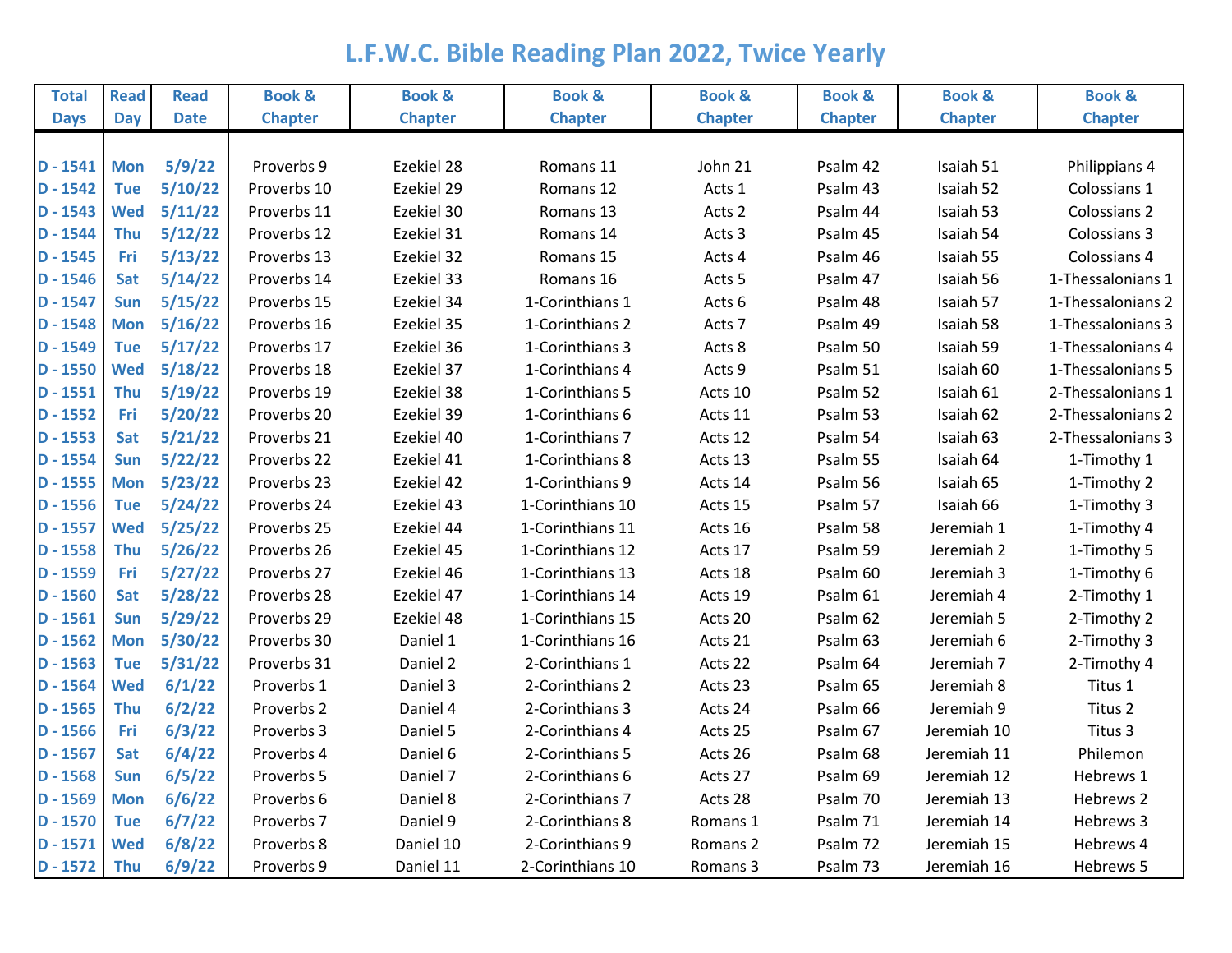| <b>Total</b> | <b>Read</b> | <b>Read</b> | <b>Book &amp;</b> | <b>Book &amp;</b> | <b>Book &amp;</b> | <b>Book &amp;</b> | <b>Book &amp;</b> | <b>Book &amp;</b> | <b>Book &amp;</b> |
|--------------|-------------|-------------|-------------------|-------------------|-------------------|-------------------|-------------------|-------------------|-------------------|
| <b>Days</b>  | Day         | <b>Date</b> | <b>Chapter</b>    | <b>Chapter</b>    | <b>Chapter</b>    | <b>Chapter</b>    | <b>Chapter</b>    | <b>Chapter</b>    | <b>Chapter</b>    |
|              |             |             |                   |                   |                   |                   |                   |                   |                   |
| $D - 1541$   | <b>Mon</b>  | 5/9/22      | Proverbs 9        | Ezekiel 28        | Romans 11         | John 21           | Psalm 42          | Isaiah 51         | Philippians 4     |
| $D - 1542$   | <b>Tue</b>  | 5/10/22     | Proverbs 10       | Ezekiel 29        | Romans 12         | Acts 1            | Psalm 43          | Isaiah 52         | Colossians 1      |
| $D - 1543$   | <b>Wed</b>  | 5/11/22     | Proverbs 11       | Ezekiel 30        | Romans 13         | Acts 2            | Psalm 44          | Isaiah 53         | Colossians 2      |
| $D - 1544$   | Thu         | 5/12/22     | Proverbs 12       | Ezekiel 31        | Romans 14         | Acts 3            | Psalm 45          | Isaiah 54         | Colossians 3      |
| $D - 1545$   | Fri         | 5/13/22     | Proverbs 13       | Ezekiel 32        | Romans 15         | Acts 4            | Psalm 46          | Isaiah 55         | Colossians 4      |
| $D - 1546$   | Sat         | 5/14/22     | Proverbs 14       | Ezekiel 33        | Romans 16         | Acts 5            | Psalm 47          | Isaiah 56         | 1-Thessalonians 1 |
| $D - 1547$   | Sun         | 5/15/22     | Proverbs 15       | Ezekiel 34        | 1-Corinthians 1   | Acts 6            | Psalm 48          | Isaiah 57         | 1-Thessalonians 2 |
| $D - 1548$   | <b>Mon</b>  | 5/16/22     | Proverbs 16       | Ezekiel 35        | 1-Corinthians 2   | Acts 7            | Psalm 49          | Isaiah 58         | 1-Thessalonians 3 |
| $D - 1549$   | <b>Tue</b>  | 5/17/22     | Proverbs 17       | Ezekiel 36        | 1-Corinthians 3   | Acts 8            | Psalm 50          | Isaiah 59         | 1-Thessalonians 4 |
| $D - 1550$   | <b>Wed</b>  | 5/18/22     | Proverbs 18       | Ezekiel 37        | 1-Corinthians 4   | Acts 9            | Psalm 51          | Isaiah 60         | 1-Thessalonians 5 |
| $D - 1551$   | Thu         | 5/19/22     | Proverbs 19       | Ezekiel 38        | 1-Corinthians 5   | Acts 10           | Psalm 52          | Isaiah 61         | 2-Thessalonians 1 |
| $D - 1552$   | Fri         | 5/20/22     | Proverbs 20       | Ezekiel 39        | 1-Corinthians 6   | Acts 11           | Psalm 53          | Isaiah 62         | 2-Thessalonians 2 |
| $D - 1553$   | Sat         | 5/21/22     | Proverbs 21       | Ezekiel 40        | 1-Corinthians 7   | Acts 12           | Psalm 54          | Isaiah 63         | 2-Thessalonians 3 |
| $D - 1554$   | <b>Sun</b>  | 5/22/22     | Proverbs 22       | Ezekiel 41        | 1-Corinthians 8   | Acts 13           | Psalm 55          | Isaiah 64         | 1-Timothy 1       |
| $D - 1555$   | <b>Mon</b>  | 5/23/22     | Proverbs 23       | Ezekiel 42        | 1-Corinthians 9   | Acts 14           | Psalm 56          | Isaiah 65         | 1-Timothy 2       |
| $D - 1556$   | <b>Tue</b>  | 5/24/22     | Proverbs 24       | Ezekiel 43        | 1-Corinthians 10  | Acts 15           | Psalm 57          | Isaiah 66         | 1-Timothy 3       |
| $D - 1557$   | <b>Wed</b>  | 5/25/22     | Proverbs 25       | Ezekiel 44        | 1-Corinthians 11  | Acts 16           | Psalm 58          | Jeremiah 1        | 1-Timothy 4       |
| $D - 1558$   | Thu         | 5/26/22     | Proverbs 26       | Ezekiel 45        | 1-Corinthians 12  | Acts 17           | Psalm 59          | Jeremiah 2        | 1-Timothy 5       |
| $D - 1559$   | Fri         | 5/27/22     | Proverbs 27       | Ezekiel 46        | 1-Corinthians 13  | Acts 18           | Psalm 60          | Jeremiah 3        | 1-Timothy 6       |
| $D - 1560$   | <b>Sat</b>  | 5/28/22     | Proverbs 28       | Ezekiel 47        | 1-Corinthians 14  | Acts 19           | Psalm 61          | Jeremiah 4        | 2-Timothy 1       |
| $D - 1561$   | Sun         | 5/29/22     | Proverbs 29       | Ezekiel 48        | 1-Corinthians 15  | Acts 20           | Psalm 62          | Jeremiah 5        | 2-Timothy 2       |
| $D - 1562$   | <b>Mon</b>  | 5/30/22     | Proverbs 30       | Daniel 1          | 1-Corinthians 16  | Acts 21           | Psalm 63          | Jeremiah 6        | 2-Timothy 3       |
| $D - 1563$   | <b>Tue</b>  | 5/31/22     | Proverbs 31       | Daniel 2          | 2-Corinthians 1   | Acts 22           | Psalm 64          | Jeremiah 7        | 2-Timothy 4       |
| $D - 1564$   | <b>Wed</b>  | 6/1/22      | Proverbs 1        | Daniel 3          | 2-Corinthians 2   | Acts 23           | Psalm 65          | Jeremiah 8        | Titus 1           |
| $D - 1565$   | <b>Thu</b>  | 6/2/22      | Proverbs 2        | Daniel 4          | 2-Corinthians 3   | Acts 24           | Psalm 66          | Jeremiah 9        | Titus 2           |
| $D - 1566$   | Fri         | 6/3/22      | Proverbs 3        | Daniel 5          | 2-Corinthians 4   | Acts 25           | Psalm 67          | Jeremiah 10       | Titus 3           |
| $D - 1567$   | Sat         | 6/4/22      | Proverbs 4        | Daniel 6          | 2-Corinthians 5   | Acts 26           | Psalm 68          | Jeremiah 11       | Philemon          |
| $D - 1568$   | <b>Sun</b>  | 6/5/22      | Proverbs 5        | Daniel 7          | 2-Corinthians 6   | Acts 27           | Psalm 69          | Jeremiah 12       | Hebrews 1         |
| $D - 1569$   | <b>Mon</b>  | 6/6/22      | Proverbs 6        | Daniel 8          | 2-Corinthians 7   | Acts 28           | Psalm 70          | Jeremiah 13       | Hebrews 2         |
| $D - 1570$   | <b>Tue</b>  | 6/7/22      | Proverbs 7        | Daniel 9          | 2-Corinthians 8   | Romans 1          | Psalm 71          | Jeremiah 14       | Hebrews 3         |
| $D - 1571$   | <b>Wed</b>  | 6/8/22      | Proverbs 8        | Daniel 10         | 2-Corinthians 9   | Romans 2          | Psalm 72          | Jeremiah 15       | Hebrews 4         |
| $D - 1572$   | Thu         | 6/9/22      | Proverbs 9        | Daniel 11         | 2-Corinthians 10  | Romans 3          | Psalm 73          | Jeremiah 16       | Hebrews 5         |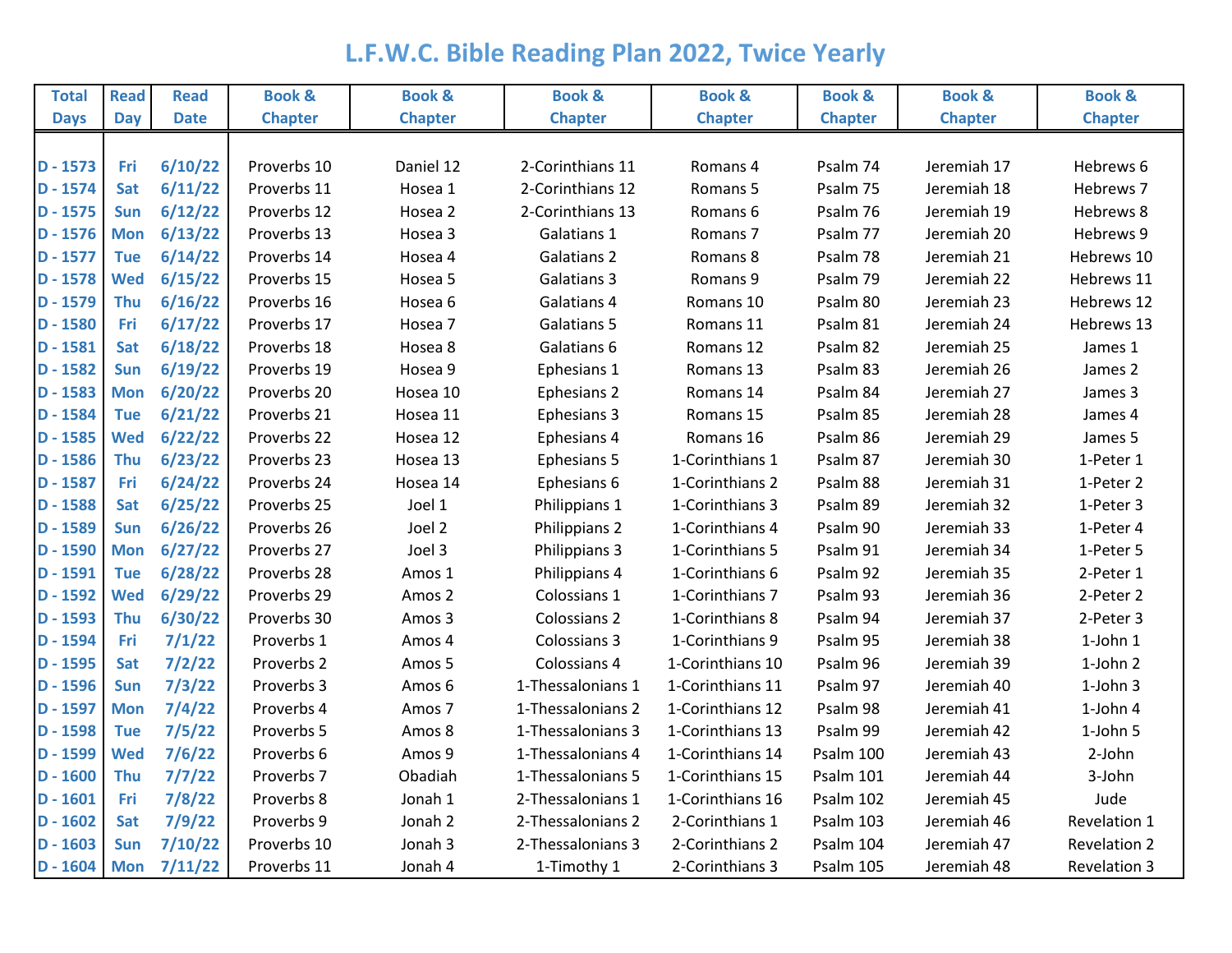| <b>Total</b> | <b>Read</b> | <b>Read</b> | <b>Book &amp;</b> | <b>Book &amp;</b> | <b>Book &amp;</b> | <b>Book &amp;</b>   | <b>Book &amp;</b> | <b>Book &amp;</b> | <b>Book &amp;</b>   |
|--------------|-------------|-------------|-------------------|-------------------|-------------------|---------------------|-------------------|-------------------|---------------------|
| <b>Days</b>  | Day         | <b>Date</b> | <b>Chapter</b>    | <b>Chapter</b>    | <b>Chapter</b>    | <b>Chapter</b>      | <b>Chapter</b>    | <b>Chapter</b>    | <b>Chapter</b>      |
|              |             |             |                   |                   |                   |                     |                   |                   |                     |
| $D - 1573$   | Fri         | 6/10/22     | Proverbs 10       | Daniel 12         | 2-Corinthians 11  | Romans 4            | Psalm 74          | Jeremiah 17       | Hebrews 6           |
| $D - 1574$   | <b>Sat</b>  | 6/11/22     | Proverbs 11       | Hosea 1           | 2-Corinthians 12  | Romans 5            | Psalm 75          | Jeremiah 18       | Hebrews 7           |
| $D - 1575$   | Sun         | 6/12/22     | Proverbs 12       | Hosea 2           | 2-Corinthians 13  | Romans <sub>6</sub> | Psalm 76          | Jeremiah 19       | Hebrews 8           |
| $D - 1576$   | <b>Mon</b>  | 6/13/22     | Proverbs 13       | Hosea 3           | Galatians 1       | Romans <sub>7</sub> | Psalm 77          | Jeremiah 20       | Hebrews 9           |
| $D - 1577$   | <b>Tue</b>  | 6/14/22     | Proverbs 14       | Hosea 4           | Galatians 2       | Romans 8            | Psalm 78          | Jeremiah 21       | Hebrews 10          |
| $D - 1578$   | <b>Wed</b>  | 6/15/22     | Proverbs 15       | Hosea 5           | Galatians 3       | Romans 9            | Psalm 79          | Jeremiah 22       | Hebrews 11          |
| $D - 1579$   | <b>Thu</b>  | 6/16/22     | Proverbs 16       | Hosea 6           | Galatians 4       | Romans 10           | Psalm 80          | Jeremiah 23       | Hebrews 12          |
| $D - 1580$   | Fri         | 6/17/22     | Proverbs 17       | Hosea 7           | Galatians 5       | Romans 11           | Psalm 81          | Jeremiah 24       | Hebrews 13          |
| $D - 1581$   | Sat         | 6/18/22     | Proverbs 18       | Hosea 8           | Galatians 6       | Romans 12           | Psalm 82          | Jeremiah 25       | James 1             |
| $D - 1582$   | Sun         | 6/19/22     | Proverbs 19       | Hosea 9           | Ephesians 1       | Romans 13           | Psalm 83          | Jeremiah 26       | James 2             |
| $D - 1583$   | <b>Mon</b>  | 6/20/22     | Proverbs 20       | Hosea 10          | Ephesians 2       | Romans 14           | Psalm 84          | Jeremiah 27       | James 3             |
| $D - 1584$   | <b>Tue</b>  | 6/21/22     | Proverbs 21       | Hosea 11          | Ephesians 3       | Romans 15           | Psalm 85          | Jeremiah 28       | James 4             |
| $D - 1585$   | <b>Wed</b>  | 6/22/22     | Proverbs 22       | Hosea 12          | Ephesians 4       | Romans 16           | Psalm 86          | Jeremiah 29       | James 5             |
| $D - 1586$   | Thu         | 6/23/22     | Proverbs 23       | Hosea 13          | Ephesians 5       | 1-Corinthians 1     | Psalm 87          | Jeremiah 30       | 1-Peter 1           |
| $D - 1587$   | Fri         | 6/24/22     | Proverbs 24       | Hosea 14          | Ephesians 6       | 1-Corinthians 2     | Psalm 88          | Jeremiah 31       | 1-Peter 2           |
| $D - 1588$   | Sat         | 6/25/22     | Proverbs 25       | Joel 1            | Philippians 1     | 1-Corinthians 3     | Psalm 89          | Jeremiah 32       | 1-Peter 3           |
| $D - 1589$   | <b>Sun</b>  | 6/26/22     | Proverbs 26       | Joel 2            | Philippians 2     | 1-Corinthians 4     | Psalm 90          | Jeremiah 33       | 1-Peter 4           |
| $D - 1590$   | <b>Mon</b>  | 6/27/22     | Proverbs 27       | Joel 3            | Philippians 3     | 1-Corinthians 5     | Psalm 91          | Jeremiah 34       | 1-Peter 5           |
| $D - 1591$   | <b>Tue</b>  | 6/28/22     | Proverbs 28       | Amos 1            | Philippians 4     | 1-Corinthians 6     | Psalm 92          | Jeremiah 35       | 2-Peter 1           |
| $D - 1592$   | <b>Wed</b>  | 6/29/22     | Proverbs 29       | Amos 2            | Colossians 1      | 1-Corinthians 7     | Psalm 93          | Jeremiah 36       | 2-Peter 2           |
| $D - 1593$   | Thu         | 6/30/22     | Proverbs 30       | Amos 3            | Colossians 2      | 1-Corinthians 8     | Psalm 94          | Jeremiah 37       | 2-Peter 3           |
| $D - 1594$   | Fri         | 7/1/22      | Proverbs 1        | Amos 4            | Colossians 3      | 1-Corinthians 9     | Psalm 95          | Jeremiah 38       | 1-John 1            |
| $D - 1595$   | Sat         | 7/2/22      | Proverbs 2        | Amos 5            | Colossians 4      | 1-Corinthians 10    | Psalm 96          | Jeremiah 39       | 1-John 2            |
| $D - 1596$   | Sun         | 7/3/22      | Proverbs 3        | Amos 6            | 1-Thessalonians 1 | 1-Corinthians 11    | Psalm 97          | Jeremiah 40       | 1-John 3            |
| $D - 1597$   | <b>Mon</b>  | 7/4/22      | Proverbs 4        | Amos 7            | 1-Thessalonians 2 | 1-Corinthians 12    | Psalm 98          | Jeremiah 41       | 1-John 4            |
| $D - 1598$   | <b>Tue</b>  | 7/5/22      | Proverbs 5        | Amos 8            | 1-Thessalonians 3 | 1-Corinthians 13    | Psalm 99          | Jeremiah 42       | 1-John 5            |
| $D - 1599$   | <b>Wed</b>  | 7/6/22      | Proverbs 6        | Amos 9            | 1-Thessalonians 4 | 1-Corinthians 14    | Psalm 100         | Jeremiah 43       | 2-John              |
| $D - 1600$   | Thu         | 7/7/22      | Proverbs 7        | Obadiah           | 1-Thessalonians 5 | 1-Corinthians 15    | Psalm 101         | Jeremiah 44       | 3-John              |
| $D - 1601$   | Fri         | 7/8/22      | Proverbs 8        | Jonah 1           | 2-Thessalonians 1 | 1-Corinthians 16    | Psalm 102         | Jeremiah 45       | Jude                |
| $D - 1602$   | Sat         | 7/9/22      | Proverbs 9        | Jonah 2           | 2-Thessalonians 2 | 2-Corinthians 1     | Psalm 103         | Jeremiah 46       | Revelation 1        |
| $D - 1603$   | <b>Sun</b>  | 7/10/22     | Proverbs 10       | Jonah 3           | 2-Thessalonians 3 | 2-Corinthians 2     | Psalm 104         | Jeremiah 47       | Revelation 2        |
| $D - 1604$   | <b>Mon</b>  | 7/11/22     | Proverbs 11       | Jonah 4           | 1-Timothy 1       | 2-Corinthians 3     | Psalm 105         | Jeremiah 48       | <b>Revelation 3</b> |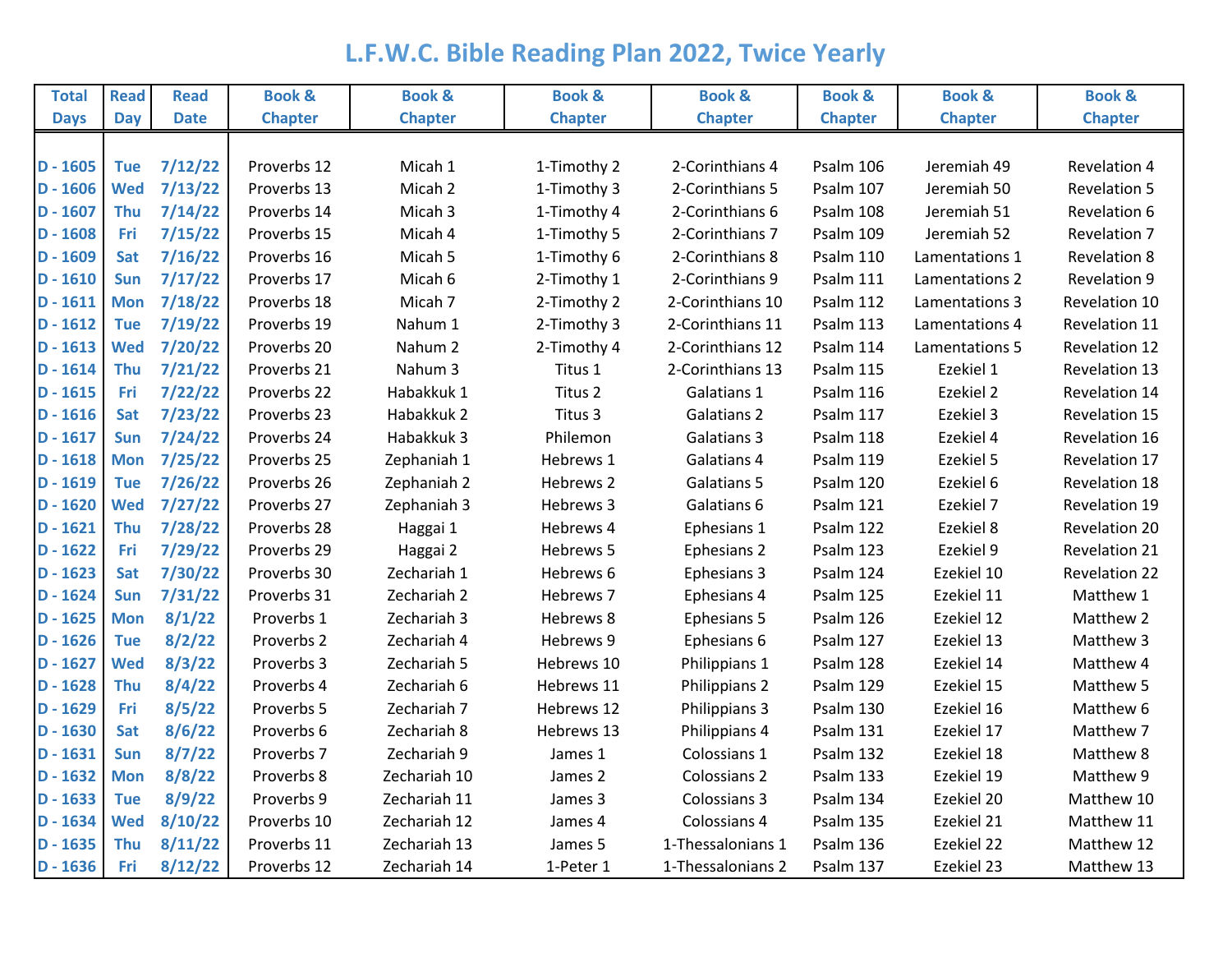| <b>Total</b> | <b>Read</b> | <b>Read</b> | <b>Book &amp;</b> | <b>Book &amp;</b> | <b>Book &amp;</b> | <b>Book &amp;</b> | <b>Book &amp;</b> | <b>Book &amp;</b> | <b>Book &amp;</b>    |
|--------------|-------------|-------------|-------------------|-------------------|-------------------|-------------------|-------------------|-------------------|----------------------|
| <b>Days</b>  | Day         | <b>Date</b> | <b>Chapter</b>    | <b>Chapter</b>    | <b>Chapter</b>    | <b>Chapter</b>    | <b>Chapter</b>    | <b>Chapter</b>    | <b>Chapter</b>       |
|              |             |             |                   |                   |                   |                   |                   |                   |                      |
| $D - 1605$   | <b>Tue</b>  | 7/12/22     | Proverbs 12       | Micah 1           | 1-Timothy 2       | 2-Corinthians 4   | Psalm 106         | Jeremiah 49       | Revelation 4         |
| $D - 1606$   | <b>Wed</b>  | 7/13/22     | Proverbs 13       | Micah 2           | 1-Timothy 3       | 2-Corinthians 5   | Psalm 107         | Jeremiah 50       | <b>Revelation 5</b>  |
| $D - 1607$   | Thu         | 7/14/22     | Proverbs 14       | Micah 3           | 1-Timothy 4       | 2-Corinthians 6   | Psalm 108         | Jeremiah 51       | Revelation 6         |
| $D - 1608$   | Fri         | 7/15/22     | Proverbs 15       | Micah 4           | 1-Timothy 5       | 2-Corinthians 7   | Psalm 109         | Jeremiah 52       | Revelation 7         |
| $D - 1609$   | Sat         | 7/16/22     | Proverbs 16       | Micah 5           | 1-Timothy 6       | 2-Corinthians 8   | Psalm 110         | Lamentations 1    | <b>Revelation 8</b>  |
| $D - 1610$   | Sun         | 7/17/22     | Proverbs 17       | Micah 6           | 2-Timothy 1       | 2-Corinthians 9   | Psalm 111         | Lamentations 2    | <b>Revelation 9</b>  |
| $D - 1611$   | <b>Mon</b>  | 7/18/22     | Proverbs 18       | Micah 7           | 2-Timothy 2       | 2-Corinthians 10  | Psalm 112         | Lamentations 3    | Revelation 10        |
| $D - 1612$   | <b>Tue</b>  | 7/19/22     | Proverbs 19       | Nahum 1           | 2-Timothy 3       | 2-Corinthians 11  | Psalm 113         | Lamentations 4    | <b>Revelation 11</b> |
| $D - 1613$   | <b>Wed</b>  | 7/20/22     | Proverbs 20       | Nahum 2           | 2-Timothy 4       | 2-Corinthians 12  | Psalm 114         | Lamentations 5    | Revelation 12        |
| $D - 1614$   | Thu         | 7/21/22     | Proverbs 21       | Nahum 3           | Titus 1           | 2-Corinthians 13  | Psalm 115         | Ezekiel 1         | Revelation 13        |
| $D - 1615$   | Fri         | 7/22/22     | Proverbs 22       | Habakkuk 1        | Titus 2           | Galatians 1       | Psalm 116         | Ezekiel 2         | Revelation 14        |
| $D - 1616$   | Sat         | 7/23/22     | Proverbs 23       | Habakkuk 2        | Titus 3           | Galatians 2       | Psalm 117         | Ezekiel 3         | Revelation 15        |
| $D - 1617$   | Sun         | 7/24/22     | Proverbs 24       | Habakkuk 3        | Philemon          | Galatians 3       | Psalm 118         | Ezekiel 4         | Revelation 16        |
| $D - 1618$   | <b>Mon</b>  | 7/25/22     | Proverbs 25       | Zephaniah 1       | Hebrews 1         | Galatians 4       | Psalm 119         | Ezekiel 5         | Revelation 17        |
| $D - 1619$   | <b>Tue</b>  | 7/26/22     | Proverbs 26       | Zephaniah 2       | Hebrews 2         | Galatians 5       | Psalm 120         | Ezekiel 6         | Revelation 18        |
| $D - 1620$   | <b>Wed</b>  | 7/27/22     | Proverbs 27       | Zephaniah 3       | Hebrews 3         | Galatians 6       | Psalm 121         | Ezekiel 7         | Revelation 19        |
| $D - 1621$   | <b>Thu</b>  | 7/28/22     | Proverbs 28       | Haggai 1          | Hebrews 4         | Ephesians 1       | Psalm 122         | Ezekiel 8         | Revelation 20        |
| $D - 1622$   | Fri         | 7/29/22     | Proverbs 29       | Haggai 2          | Hebrews 5         | Ephesians 2       | Psalm 123         | Ezekiel 9         | <b>Revelation 21</b> |
| $D - 1623$   | Sat         | 7/30/22     | Proverbs 30       | Zechariah 1       | Hebrews 6         | Ephesians 3       | Psalm 124         | Ezekiel 10        | <b>Revelation 22</b> |
| $D - 1624$   | Sun         | 7/31/22     | Proverbs 31       | Zechariah 2       | Hebrews 7         | Ephesians 4       | Psalm 125         | Ezekiel 11        | Matthew 1            |
| $D - 1625$   | <b>Mon</b>  | 8/1/22      | Proverbs 1        | Zechariah 3       | Hebrews 8         | Ephesians 5       | Psalm 126         | Ezekiel 12        | Matthew 2            |
| $D - 1626$   | <b>Tue</b>  | 8/2/22      | Proverbs 2        | Zechariah 4       | Hebrews 9         | Ephesians 6       | Psalm 127         | Ezekiel 13        | Matthew 3            |
| $D - 1627$   | <b>Wed</b>  | 8/3/22      | Proverbs 3        | Zechariah 5       | Hebrews 10        | Philippians 1     | Psalm 128         | Ezekiel 14        | Matthew 4            |
| $D - 1628$   | Thu         | 8/4/22      | Proverbs 4        | Zechariah 6       | Hebrews 11        | Philippians 2     | Psalm 129         | Ezekiel 15        | Matthew 5            |
| $D - 1629$   | Fri         | 8/5/22      | Proverbs 5        | Zechariah 7       | Hebrews 12        | Philippians 3     | Psalm 130         | Ezekiel 16        | Matthew 6            |
| $D - 1630$   | <b>Sat</b>  | 8/6/22      | Proverbs 6        | Zechariah 8       | Hebrews 13        | Philippians 4     | Psalm 131         | Ezekiel 17        | Matthew 7            |
| $D - 1631$   | <b>Sun</b>  | 8/7/22      | Proverbs 7        | Zechariah 9       | James 1           | Colossians 1      | Psalm 132         | Ezekiel 18        | Matthew 8            |
| $D - 1632$   | <b>Mon</b>  | 8/8/22      | Proverbs 8        | Zechariah 10      | James 2           | Colossians 2      | Psalm 133         | Ezekiel 19        | Matthew 9            |
| $D - 1633$   | <b>Tue</b>  | 8/9/22      | Proverbs 9        | Zechariah 11      | James 3           | Colossians 3      | Psalm 134         | Ezekiel 20        | Matthew 10           |
| $D - 1634$   | <b>Wed</b>  | 8/10/22     | Proverbs 10       | Zechariah 12      | James 4           | Colossians 4      | Psalm 135         | Ezekiel 21        | Matthew 11           |
| $D - 1635$   | Thu         | 8/11/22     | Proverbs 11       | Zechariah 13      | James 5           | 1-Thessalonians 1 | Psalm 136         | Ezekiel 22        | Matthew 12           |
| $D - 1636$   | Fri         | 8/12/22     | Proverbs 12       | Zechariah 14      | 1-Peter 1         | 1-Thessalonians 2 | Psalm 137         | Ezekiel 23        | Matthew 13           |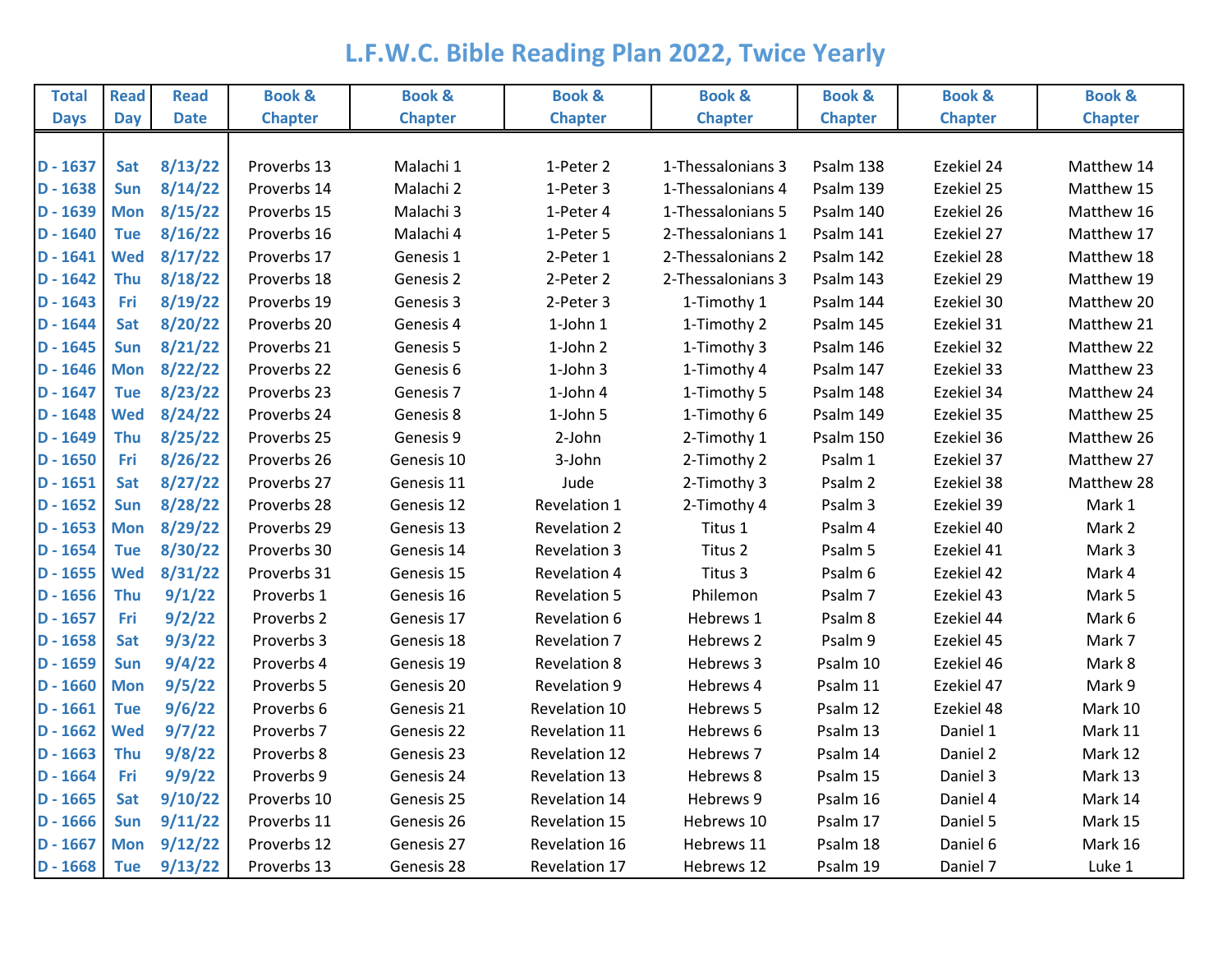| <b>Total</b> | <b>Read</b> | <b>Read</b> | <b>Book &amp;</b> | <b>Book &amp;</b> | <b>Book &amp;</b>    | <b>Book &amp;</b> | <b>Book &amp;</b> | <b>Book &amp;</b> | <b>Book &amp;</b> |
|--------------|-------------|-------------|-------------------|-------------------|----------------------|-------------------|-------------------|-------------------|-------------------|
| <b>Days</b>  | <b>Day</b>  | <b>Date</b> | <b>Chapter</b>    | <b>Chapter</b>    | <b>Chapter</b>       | <b>Chapter</b>    | <b>Chapter</b>    | <b>Chapter</b>    | <b>Chapter</b>    |
|              |             |             |                   |                   |                      |                   |                   |                   |                   |
| $D - 1637$   | Sat         | 8/13/22     | Proverbs 13       | Malachi 1         | 1-Peter 2            | 1-Thessalonians 3 | Psalm 138         | Ezekiel 24        | Matthew 14        |
| $D - 1638$   | Sun         | 8/14/22     | Proverbs 14       | Malachi 2         | 1-Peter 3            | 1-Thessalonians 4 | Psalm 139         | Ezekiel 25        | Matthew 15        |
| $D - 1639$   | <b>Mon</b>  | 8/15/22     | Proverbs 15       | Malachi 3         | 1-Peter 4            | 1-Thessalonians 5 | Psalm 140         | Ezekiel 26        | Matthew 16        |
| $D - 1640$   | <b>Tue</b>  | 8/16/22     | Proverbs 16       | Malachi 4         | 1-Peter 5            | 2-Thessalonians 1 | Psalm 141         | Ezekiel 27        | Matthew 17        |
| $D - 1641$   | <b>Wed</b>  | 8/17/22     | Proverbs 17       | Genesis 1         | 2-Peter 1            | 2-Thessalonians 2 | Psalm 142         | Ezekiel 28        | Matthew 18        |
| $D - 1642$   | Thu         | 8/18/22     | Proverbs 18       | Genesis 2         | 2-Peter 2            | 2-Thessalonians 3 | Psalm 143         | Ezekiel 29        | Matthew 19        |
| $D - 1643$   | Fri         | 8/19/22     | Proverbs 19       | Genesis 3         | 2-Peter 3            | 1-Timothy 1       | Psalm 144         | Ezekiel 30        | Matthew 20        |
| $D - 1644$   | Sat         | 8/20/22     | Proverbs 20       | Genesis 4         | 1-John 1             | 1-Timothy 2       | Psalm 145         | Ezekiel 31        | Matthew 21        |
| $D - 1645$   | Sun         | 8/21/22     | Proverbs 21       | Genesis 5         | 1-John 2             | 1-Timothy 3       | Psalm 146         | Ezekiel 32        | Matthew 22        |
| $D - 1646$   | <b>Mon</b>  | 8/22/22     | Proverbs 22       | Genesis 6         | 1-John 3             | 1-Timothy 4       | Psalm 147         | Ezekiel 33        | Matthew 23        |
| $D - 1647$   | <b>Tue</b>  | 8/23/22     | Proverbs 23       | Genesis 7         | 1-John 4             | 1-Timothy 5       | Psalm 148         | Ezekiel 34        | Matthew 24        |
| $D - 1648$   | <b>Wed</b>  | 8/24/22     | Proverbs 24       | Genesis 8         | 1-John 5             | 1-Timothy 6       | Psalm 149         | Ezekiel 35        | Matthew 25        |
| $D - 1649$   | Thu         | 8/25/22     | Proverbs 25       | Genesis 9         | 2-John               | 2-Timothy 1       | Psalm 150         | Ezekiel 36        | Matthew 26        |
| $D - 1650$   | Fri         | 8/26/22     | Proverbs 26       | Genesis 10        | 3-John               | 2-Timothy 2       | Psalm 1           | Ezekiel 37        | Matthew 27        |
| $D - 1651$   | Sat         | 8/27/22     | Proverbs 27       | Genesis 11        | Jude                 | 2-Timothy 3       | Psalm 2           | Ezekiel 38        | Matthew 28        |
| $D - 1652$   | Sun         | 8/28/22     | Proverbs 28       | Genesis 12        | Revelation 1         | 2-Timothy 4       | Psalm 3           | Ezekiel 39        | Mark 1            |
| $D - 1653$   | <b>Mon</b>  | 8/29/22     | Proverbs 29       | Genesis 13        | Revelation 2         | Titus 1           | Psalm 4           | Ezekiel 40        | Mark 2            |
| $D - 1654$   | <b>Tue</b>  | 8/30/22     | Proverbs 30       | Genesis 14        | <b>Revelation 3</b>  | Titus 2           | Psalm 5           | Ezekiel 41        | Mark 3            |
| $D - 1655$   | <b>Wed</b>  | 8/31/22     | Proverbs 31       | Genesis 15        | Revelation 4         | Titus 3           | Psalm 6           | Ezekiel 42        | Mark 4            |
| $D - 1656$   | Thu         | 9/1/22      | Proverbs 1        | Genesis 16        | <b>Revelation 5</b>  | Philemon          | Psalm 7           | Ezekiel 43        | Mark 5            |
| $D - 1657$   | Fri         | 9/2/22      | Proverbs 2        | Genesis 17        | Revelation 6         | Hebrews 1         | Psalm 8           | Ezekiel 44        | Mark 6            |
| $D - 1658$   | <b>Sat</b>  | 9/3/22      | Proverbs 3        | Genesis 18        | Revelation 7         | Hebrews 2         | Psalm 9           | Ezekiel 45        | Mark 7            |
| $D - 1659$   | Sun         | 9/4/22      | Proverbs 4        | Genesis 19        | <b>Revelation 8</b>  | Hebrews 3         | Psalm 10          | Ezekiel 46        | Mark 8            |
| $D - 1660$   | <b>Mon</b>  | 9/5/22      | Proverbs 5        | Genesis 20        | <b>Revelation 9</b>  | Hebrews 4         | Psalm 11          | Ezekiel 47        | Mark 9            |
| $D - 1661$   | <b>Tue</b>  | 9/6/22      | Proverbs 6        | Genesis 21        | Revelation 10        | Hebrews 5         | Psalm 12          | Ezekiel 48        | Mark 10           |
| $D - 1662$   | <b>Wed</b>  | 9/7/22      | Proverbs 7        | Genesis 22        | Revelation 11        | Hebrews 6         | Psalm 13          | Daniel 1          | Mark 11           |
| $D - 1663$   | Thu         | 9/8/22      | Proverbs 8        | Genesis 23        | Revelation 12        | Hebrews 7         | Psalm 14          | Daniel 2          | Mark 12           |
| $D - 1664$   | Fri         | 9/9/22      | Proverbs 9        | Genesis 24        | Revelation 13        | Hebrews 8         | Psalm 15          | Daniel 3          | Mark 13           |
| $D - 1665$   | Sat         | 9/10/22     | Proverbs 10       | Genesis 25        | Revelation 14        | Hebrews 9         | Psalm 16          | Daniel 4          | Mark 14           |
| $D - 1666$   | Sun         | 9/11/22     | Proverbs 11       | Genesis 26        | Revelation 15        | Hebrews 10        | Psalm 17          | Daniel 5          | Mark 15           |
| $D - 1667$   | <b>Mon</b>  | 9/12/22     | Proverbs 12       | Genesis 27        | <b>Revelation 16</b> | Hebrews 11        | Psalm 18          | Daniel 6          | Mark 16           |
| $D - 1668$   | <b>Tue</b>  | 9/13/22     | Proverbs 13       | Genesis 28        | <b>Revelation 17</b> | Hebrews 12        | Psalm 19          | Daniel 7          | Luke 1            |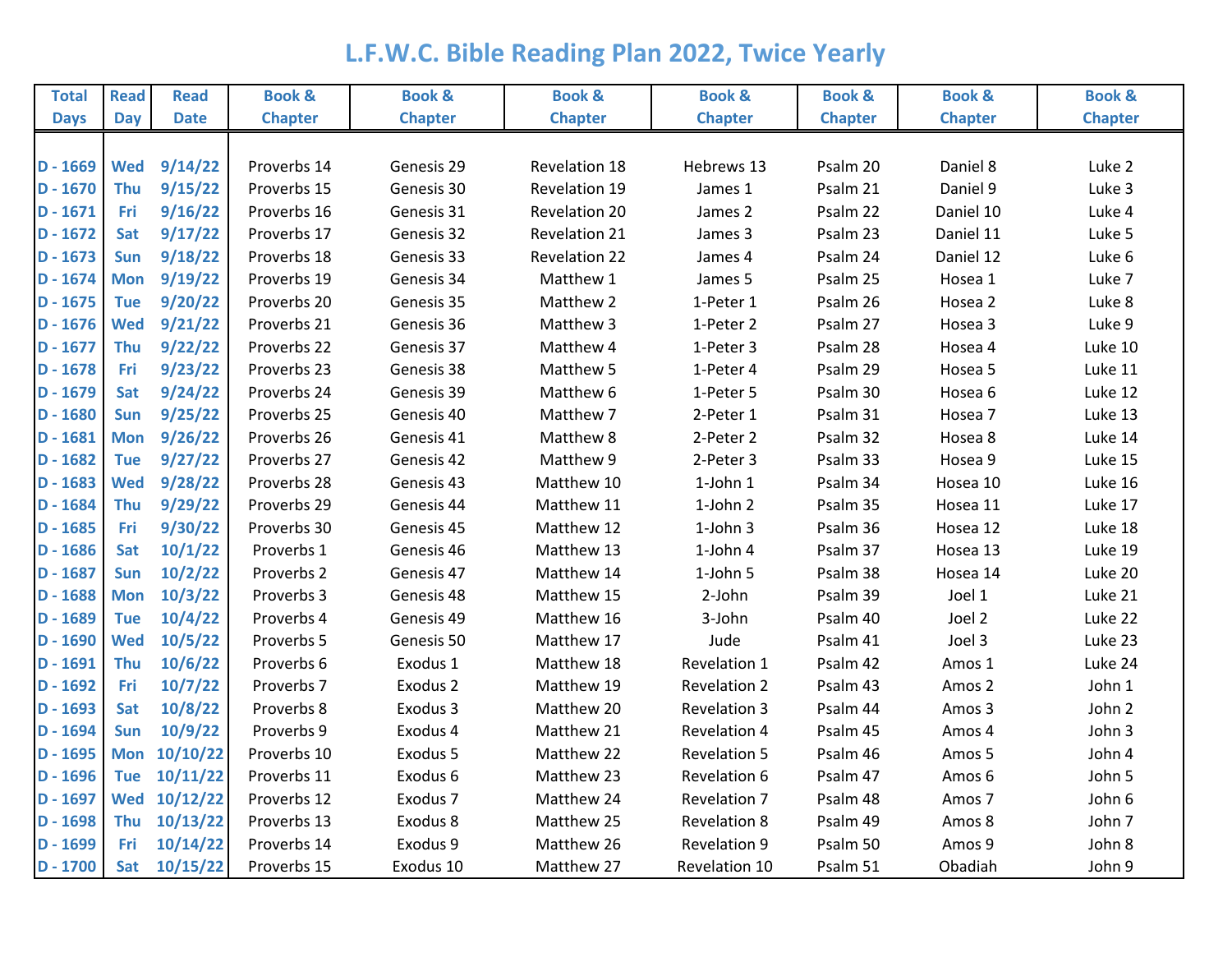| <b>Total</b> | <b>Read</b> | <b>Read</b>  | <b>Book &amp;</b> | <b>Book &amp;</b>   | <b>Book &amp;</b> | <b>Book &amp;</b>   | <b>Book &amp;</b> | <b>Book &amp;</b> | <b>Book &amp;</b> |
|--------------|-------------|--------------|-------------------|---------------------|-------------------|---------------------|-------------------|-------------------|-------------------|
| <b>Days</b>  | <b>Day</b>  | <b>Date</b>  | <b>Chapter</b>    | <b>Chapter</b>      | <b>Chapter</b>    | <b>Chapter</b>      | <b>Chapter</b>    | <b>Chapter</b>    | <b>Chapter</b>    |
|              |             |              |                   |                     |                   |                     |                   |                   |                   |
| $D - 1669$   | <b>Wed</b>  | 9/14/22      | Proverbs 14       | Genesis 29          | Revelation 18     | Hebrews 13          | Psalm 20          | Daniel 8          | Luke 2            |
| $D - 1670$   | Thu         | 9/15/22      | Proverbs 15       | Genesis 30          | Revelation 19     | James 1             | Psalm 21          | Daniel 9          | Luke 3            |
| $D - 1671$   | Fri         | 9/16/22      | Proverbs 16       | Genesis 31          | Revelation 20     | James 2             | Psalm 22          | Daniel 10         | Luke 4            |
| $D - 1672$   | Sat         | 9/17/22      | Proverbs 17       | Genesis 32          | Revelation 21     | James 3             | Psalm 23          | Daniel 11         | Luke 5            |
| $D - 1673$   | Sun         | 9/18/22      | Proverbs 18       | Genesis 33          | Revelation 22     | James 4             | Psalm 24          | Daniel 12         | Luke 6            |
| $D - 1674$   | <b>Mon</b>  | 9/19/22      | Proverbs 19       | Genesis 34          | Matthew 1         | James 5             | Psalm 25          | Hosea 1           | Luke 7            |
| $D - 1675$   | <b>Tue</b>  | 9/20/22      | Proverbs 20       | Genesis 35          | Matthew 2         | 1-Peter 1           | Psalm 26          | Hosea 2           | Luke 8            |
| $D - 1676$   | <b>Wed</b>  | 9/21/22      | Proverbs 21       | Genesis 36          | Matthew 3         | 1-Peter 2           | Psalm 27          | Hosea 3           | Luke 9            |
| $D - 1677$   | Thu         | 9/22/22      | Proverbs 22       | Genesis 37          | Matthew 4         | 1-Peter 3           | Psalm 28          | Hosea 4           | Luke 10           |
| $D - 1678$   | Fri         | 9/23/22      | Proverbs 23       | Genesis 38          | Matthew 5         | 1-Peter 4           | Psalm 29          | Hosea 5           | Luke 11           |
| $D - 1679$   | Sat         | 9/24/22      | Proverbs 24       | Genesis 39          | Matthew 6         | 1-Peter 5           | Psalm 30          | Hosea 6           | Luke 12           |
| $D - 1680$   | Sun         | 9/25/22      | Proverbs 25       | Genesis 40          | Matthew 7         | 2-Peter 1           | Psalm 31          | Hosea 7           | Luke 13           |
| $D - 1681$   | <b>Mon</b>  | 9/26/22      | Proverbs 26       | Genesis 41          | Matthew 8         | 2-Peter 2           | Psalm 32          | Hosea 8           | Luke 14           |
| $D - 1682$   | <b>Tue</b>  | 9/27/22      | Proverbs 27       | Genesis 42          | Matthew 9         | 2-Peter 3           | Psalm 33          | Hosea 9           | Luke 15           |
| $D - 1683$   | <b>Wed</b>  | 9/28/22      | Proverbs 28       | Genesis 43          | Matthew 10        | 1-John 1            | Psalm 34          | Hosea 10          | Luke 16           |
| $D - 1684$   | <b>Thu</b>  | 9/29/22      | Proverbs 29       | Genesis 44          | Matthew 11        | 1-John 2            | Psalm 35          | Hosea 11          | Luke 17           |
| $D - 1685$   | Fri         | 9/30/22      | Proverbs 30       | Genesis 45          | Matthew 12        | 1-John 3            | Psalm 36          | Hosea 12          | Luke 18           |
| $D - 1686$   | Sat         | 10/1/22      | Proverbs 1        | Genesis 46          | Matthew 13        | 1-John 4            | Psalm 37          | Hosea 13          | Luke 19           |
| $D - 1687$   | Sun         | 10/2/22      | Proverbs 2        | Genesis 47          | Matthew 14        | 1-John 5            | Psalm 38          | Hosea 14          | Luke 20           |
| $D - 1688$   | <b>Mon</b>  | 10/3/22      | Proverbs 3        | Genesis 48          | Matthew 15        | 2-John              | Psalm 39          | Joel 1            | Luke 21           |
| $D - 1689$   | <b>Tue</b>  | 10/4/22      | Proverbs 4        | Genesis 49          | Matthew 16        | 3-John              | Psalm 40          | Joel 2            | Luke 22           |
| $D - 1690$   | <b>Wed</b>  | 10/5/22      | Proverbs 5        | Genesis 50          | Matthew 17        | Jude                | Psalm 41          | Joel 3            | Luke 23           |
| $D - 1691$   | Thu         | 10/6/22      | Proverbs 6        | Exodus 1            | Matthew 18        | Revelation 1        | Psalm 42          | Amos 1            | Luke 24           |
| $D - 1692$   | Fri         | 10/7/22      | Proverbs 7        | Exodus 2            | Matthew 19        | <b>Revelation 2</b> | Psalm 43          | Amos 2            | John 1            |
| $D - 1693$   | Sat         | 10/8/22      | Proverbs 8        | Exodus 3            | Matthew 20        | Revelation 3        | Psalm 44          | Amos 3            | John 2            |
| $D - 1694$   | Sun         | 10/9/22      | Proverbs 9        | Exodus 4            | Matthew 21        | Revelation 4        | Psalm 45          | Amos 4            | John 3            |
| $D - 1695$   |             | Mon 10/10/22 | Proverbs 10       | Exodus 5            | Matthew 22        | <b>Revelation 5</b> | Psalm 46          | Amos 5            | John 4            |
| $D - 1696$   | Tue         | 10/11/22     | Proverbs 11       | Exodus 6            | Matthew 23        | Revelation 6        | Psalm 47          | Amos 6            | John 5            |
| $D - 1697$   |             | Wed 10/12/22 | Proverbs 12       | Exodus <sub>7</sub> | Matthew 24        | Revelation 7        | Psalm 48          | Amos 7            | John 6            |
| $D - 1698$   |             | Thu 10/13/22 | Proverbs 13       | Exodus 8            | Matthew 25        | <b>Revelation 8</b> | Psalm 49          | Amos 8            | John 7            |
| $D - 1699$   | Fri         | 10/14/22     | Proverbs 14       | Exodus 9            | Matthew 26        | <b>Revelation 9</b> | Psalm 50          | Amos 9            | John 8            |
| $D - 1700$   |             | Sat 10/15/22 | Proverbs 15       | Exodus 10           | Matthew 27        | Revelation 10       | Psalm 51          | Obadiah           | John 9            |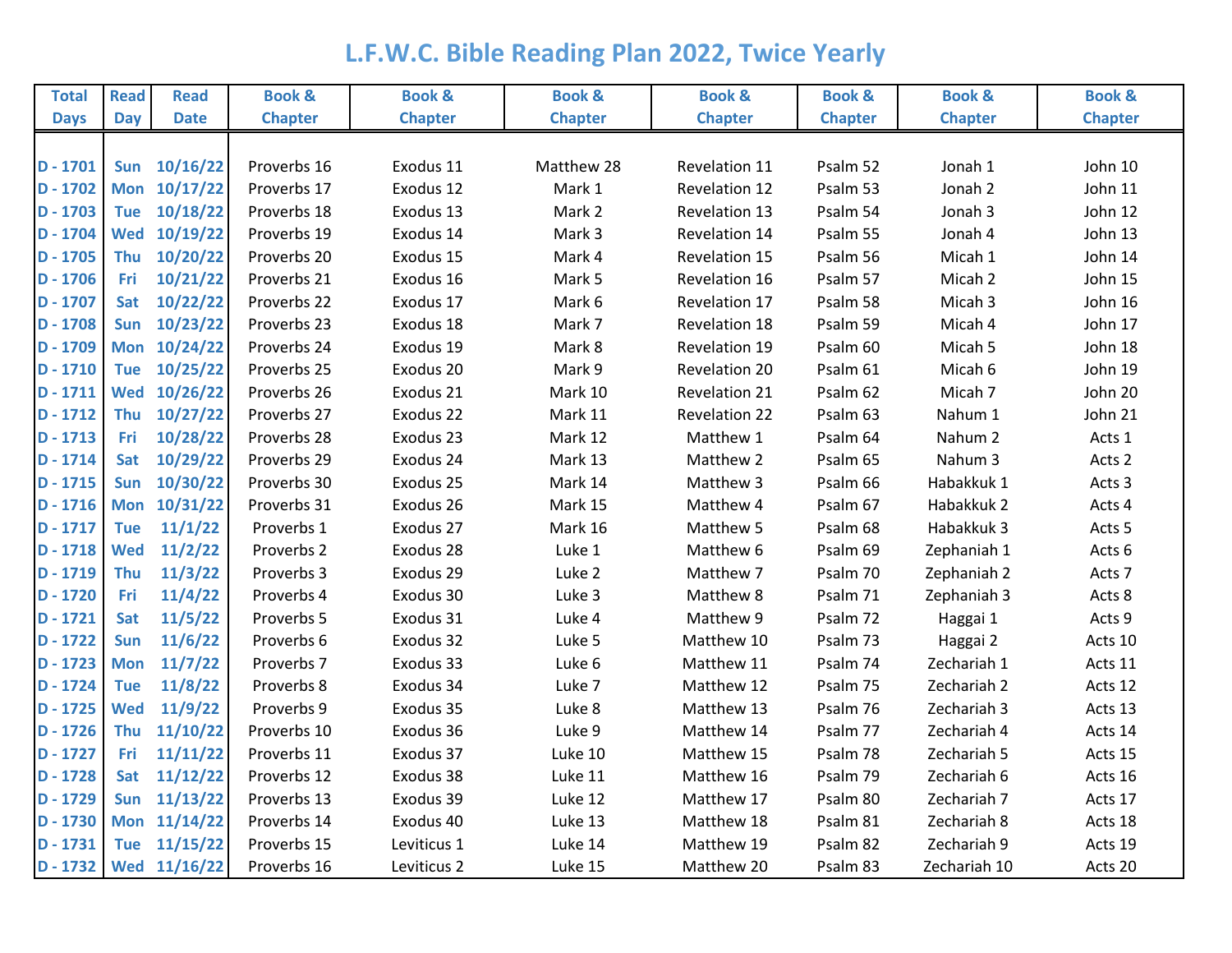| <b>Total</b> | <b>Read</b> | <b>Read</b>  | <b>Book &amp;</b> | <b>Book &amp;</b> | <b>Book &amp;</b> | <b>Book &amp;</b> | <b>Book &amp;</b> | <b>Book &amp;</b>  | <b>Book &amp;</b> |
|--------------|-------------|--------------|-------------------|-------------------|-------------------|-------------------|-------------------|--------------------|-------------------|
| <b>Days</b>  | <b>Day</b>  | <b>Date</b>  | <b>Chapter</b>    | <b>Chapter</b>    | <b>Chapter</b>    | <b>Chapter</b>    | <b>Chapter</b>    | <b>Chapter</b>     | <b>Chapter</b>    |
|              |             |              |                   |                   |                   |                   |                   |                    |                   |
| $D - 1701$   |             | Sun 10/16/22 | Proverbs 16       | Exodus 11         | Matthew 28        | Revelation 11     | Psalm 52          | Jonah 1            | John 10           |
| $D - 1702$   |             | Mon 10/17/22 | Proverbs 17       | Exodus 12         | Mark 1            | Revelation 12     | Psalm 53          | Jonah 2            | John 11           |
| $D - 1703$   | Tue         | 10/18/22     | Proverbs 18       | Exodus 13         | Mark 2            | Revelation 13     | Psalm 54          | Jonah 3            | John 12           |
| $D - 1704$   |             | Wed 10/19/22 | Proverbs 19       | Exodus 14         | Mark 3            | Revelation 14     | Psalm 55          | Jonah 4            | John 13           |
| $D - 1705$   | Thu         | 10/20/22     | Proverbs 20       | Exodus 15         | Mark 4            | Revelation 15     | Psalm 56          | Micah 1            | John 14           |
| $D - 1706$   | Fri         | 10/21/22     | Proverbs 21       | Exodus 16         | Mark 5            | Revelation 16     | Psalm 57          | Micah 2            | John 15           |
| $D - 1707$   | Sat         | 10/22/22     | Proverbs 22       | Exodus 17         | Mark 6            | Revelation 17     | Psalm 58          | Micah <sub>3</sub> | John 16           |
| $D - 1708$   | <b>Sun</b>  | 10/23/22     | Proverbs 23       | Exodus 18         | Mark 7            | Revelation 18     | Psalm 59          | Micah 4            | John 17           |
| $D - 1709$   |             | Mon 10/24/22 | Proverbs 24       | Exodus 19         | Mark 8            | Revelation 19     | Psalm 60          | Micah 5            | John 18           |
| $D - 1710$   |             | Tue 10/25/22 | Proverbs 25       | Exodus 20         | Mark 9            | Revelation 20     | Psalm 61          | Micah 6            | John 19           |
| $D - 1711$   |             | Wed 10/26/22 | Proverbs 26       | Exodus 21         | Mark 10           | Revelation 21     | Psalm 62          | Micah 7            | John 20           |
| $D - 1712$   | <b>Thu</b>  | 10/27/22     | Proverbs 27       | Exodus 22         | Mark 11           | Revelation 22     | Psalm 63          | Nahum 1            | John 21           |
| $D - 1713$   | Fri         | 10/28/22     | Proverbs 28       | Exodus 23         | Mark 12           | Matthew 1         | Psalm 64          | Nahum 2            | Acts 1            |
| $D - 1714$   | Sat         | 10/29/22     | Proverbs 29       | Exodus 24         | Mark 13           | Matthew 2         | Psalm 65          | Nahum 3            | Acts 2            |
| $D - 1715$   | <b>Sun</b>  | 10/30/22     | Proverbs 30       | Exodus 25         | Mark 14           | Matthew 3         | Psalm 66          | Habakkuk 1         | Acts 3            |
| $D - 1716$   |             | Mon 10/31/22 | Proverbs 31       | Exodus 26         | Mark 15           | Matthew 4         | Psalm 67          | Habakkuk 2         | Acts 4            |
| $D - 1717$   | <b>Tue</b>  | 11/1/22      | Proverbs 1        | Exodus 27         | Mark 16           | Matthew 5         | Psalm 68          | Habakkuk 3         | Acts 5            |
| $D - 1718$   | <b>Wed</b>  | 11/2/22      | Proverbs 2        | Exodus 28         | Luke 1            | Matthew 6         | Psalm 69          | Zephaniah 1        | Acts 6            |
| $D - 1719$   | Thu         | 11/3/22      | Proverbs 3        | Exodus 29         | Luke 2            | Matthew 7         | Psalm 70          | Zephaniah 2        | Acts 7            |
| $D - 1720$   | Fri         | 11/4/22      | Proverbs 4        | Exodus 30         | Luke 3            | Matthew 8         | Psalm 71          | Zephaniah 3        | Acts 8            |
| $D - 1721$   | Sat         | 11/5/22      | Proverbs 5        | Exodus 31         | Luke 4            | Matthew 9         | Psalm 72          | Haggai 1           | Acts 9            |
| $D - 1722$   | Sun         | 11/6/22      | Proverbs 6        | Exodus 32         | Luke 5            | Matthew 10        | Psalm 73          | Haggai 2           | Acts 10           |
| $D - 1723$   | <b>Mon</b>  | 11/7/22      | Proverbs 7        | Exodus 33         | Luke 6            | Matthew 11        | Psalm 74          | Zechariah 1        | Acts 11           |
| $D - 1724$   | <b>Tue</b>  | 11/8/22      | Proverbs 8        | Exodus 34         | Luke 7            | Matthew 12        | Psalm 75          | Zechariah 2        | Acts 12           |
| $D - 1725$   | <b>Wed</b>  | 11/9/22      | Proverbs 9        | Exodus 35         | Luke 8            | Matthew 13        | Psalm 76          | Zechariah 3        | Acts 13           |
| $D - 1726$   |             | Thu 11/10/22 | Proverbs 10       | Exodus 36         | Luke 9            | Matthew 14        | Psalm 77          | Zechariah 4        | Acts 14           |
| $D - 1727$   | Fri         | 11/11/22     | Proverbs 11       | Exodus 37         | Luke 10           | Matthew 15        | Psalm 78          | Zechariah 5        | Acts 15           |
| $D - 1728$   | Sat         | 11/12/22     | Proverbs 12       | Exodus 38         | Luke 11           | Matthew 16        | Psalm 79          | Zechariah 6        | Acts 16           |
| $D - 1729$   |             | Sun 11/13/22 | Proverbs 13       | Exodus 39         | Luke 12           | Matthew 17        | Psalm 80          | Zechariah 7        | Acts 17           |
| $D - 1730$   |             | Mon 11/14/22 | Proverbs 14       | Exodus 40         | Luke 13           | Matthew 18        | Psalm 81          | Zechariah 8        | Acts 18           |
| $D - 1731$   |             | Tue 11/15/22 | Proverbs 15       | Leviticus 1       | Luke 14           | Matthew 19        | Psalm 82          | Zechariah 9        | Acts 19           |
| $D - 1732$   |             | Wed 11/16/22 | Proverbs 16       | Leviticus 2       | Luke 15           | Matthew 20        | Psalm 83          | Zechariah 10       | Acts 20           |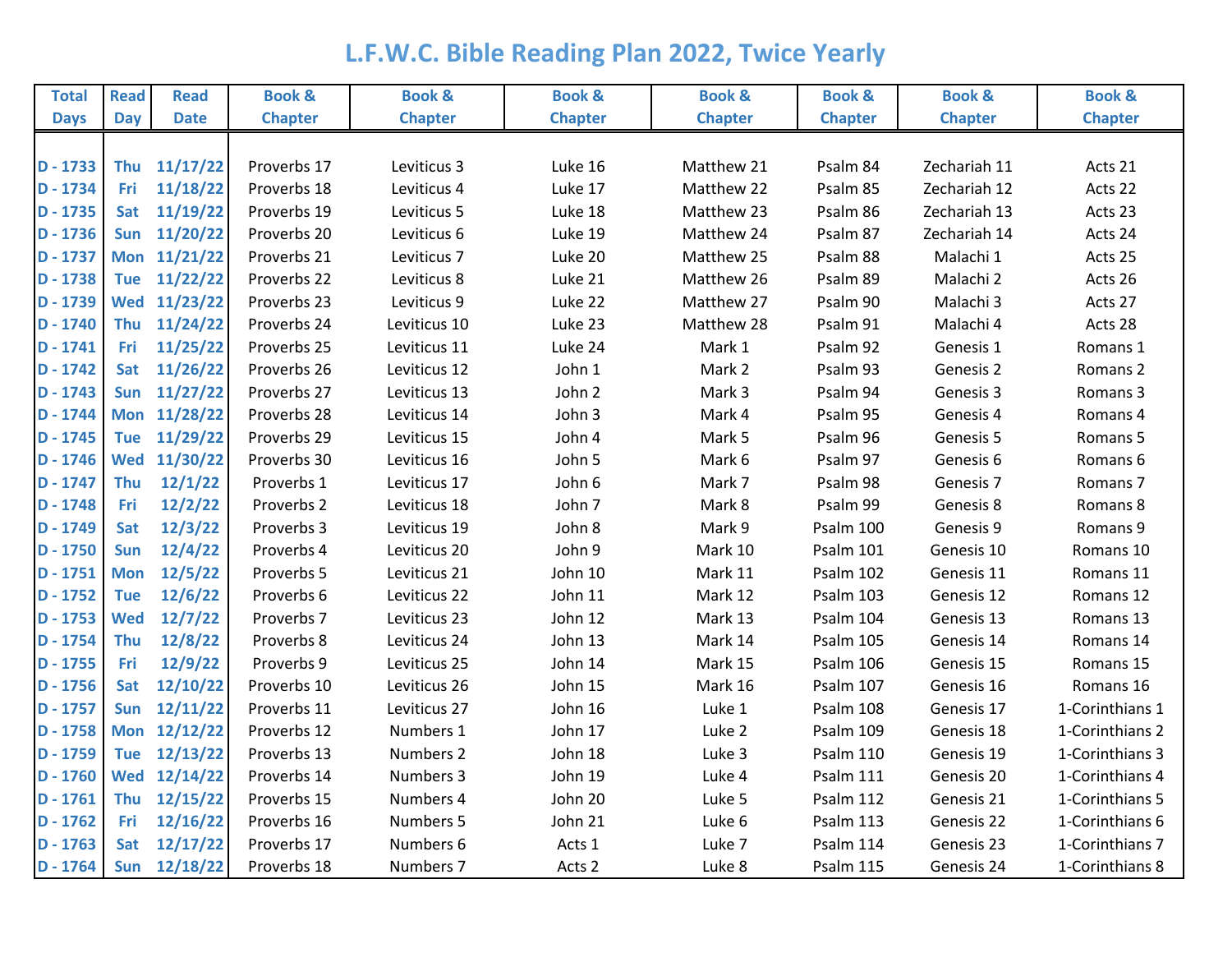| <b>Total</b> | <b>Read</b> | <b>Read</b>  | <b>Book &amp;</b> | <b>Book &amp;</b> | <b>Book &amp;</b> | <b>Book &amp;</b> | <b>Book &amp;</b> | <b>Book &amp;</b> | <b>Book &amp;</b>   |
|--------------|-------------|--------------|-------------------|-------------------|-------------------|-------------------|-------------------|-------------------|---------------------|
| <b>Days</b>  | <b>Day</b>  | <b>Date</b>  | <b>Chapter</b>    | <b>Chapter</b>    | <b>Chapter</b>    | <b>Chapter</b>    | <b>Chapter</b>    | <b>Chapter</b>    | <b>Chapter</b>      |
|              |             |              |                   |                   |                   |                   |                   |                   |                     |
| $D - 1733$   |             | Thu 11/17/22 | Proverbs 17       | Leviticus 3       | Luke 16           | Matthew 21        | Psalm 84          | Zechariah 11      | Acts 21             |
| $D - 1734$   | Fri         | 11/18/22     | Proverbs 18       | Leviticus 4       | Luke 17           | Matthew 22        | Psalm 85          | Zechariah 12      | Acts 22             |
| $D - 1735$   | Sat         | 11/19/22     | Proverbs 19       | Leviticus 5       | Luke 18           | Matthew 23        | Psalm 86          | Zechariah 13      | Acts 23             |
| $D - 1736$   | <b>Sun</b>  | 11/20/22     | Proverbs 20       | Leviticus 6       | Luke 19           | Matthew 24        | Psalm 87          | Zechariah 14      | Acts 24             |
| $D - 1737$   |             | Mon 11/21/22 | Proverbs 21       | Leviticus 7       | Luke 20           | Matthew 25        | Psalm 88          | Malachi 1         | Acts 25             |
| $D - 1738$   |             | Tue 11/22/22 | Proverbs 22       | Leviticus 8       | Luke 21           | Matthew 26        | Psalm 89          | Malachi 2         | Acts 26             |
| $D - 1739$   |             | Wed 11/23/22 | Proverbs 23       | Leviticus 9       | Luke 22           | Matthew 27        | Psalm 90          | Malachi 3         | Acts 27             |
| $D - 1740$   | Thu         | 11/24/22     | Proverbs 24       | Leviticus 10      | Luke 23           | Matthew 28        | Psalm 91          | Malachi 4         | Acts 28             |
| $D - 1741$   | Fri         | 11/25/22     | Proverbs 25       | Leviticus 11      | Luke 24           | Mark 1            | Psalm 92          | Genesis 1         | Romans 1            |
| $D - 1742$   | Sat         | 11/26/22     | Proverbs 26       | Leviticus 12      | John 1            | Mark 2            | Psalm 93          | Genesis 2         | Romans 2            |
| $D - 1743$   |             | Sun 11/27/22 | Proverbs 27       | Leviticus 13      | John 2            | Mark 3            | Psalm 94          | Genesis 3         | Romans 3            |
| $D - 1744$   |             | Mon 11/28/22 | Proverbs 28       | Leviticus 14      | John 3            | Mark 4            | Psalm 95          | Genesis 4         | Romans 4            |
| $D - 1745$   | <b>Tue</b>  | 11/29/22     | Proverbs 29       | Leviticus 15      | John 4            | Mark 5            | Psalm 96          | Genesis 5         | Romans 5            |
| $D - 1746$   |             | Wed 11/30/22 | Proverbs 30       | Leviticus 16      | John 5            | Mark 6            | Psalm 97          | Genesis 6         | Romans 6            |
| $D - 1747$   | <b>Thu</b>  | 12/1/22      | Proverbs 1        | Leviticus 17      | John 6            | Mark 7            | Psalm 98          | Genesis 7         | Romans <sub>7</sub> |
| $D - 1748$   | Fri         | 12/2/22      | Proverbs 2        | Leviticus 18      | John 7            | Mark 8            | Psalm 99          | Genesis 8         | Romans 8            |
| $D - 1749$   | Sat         | 12/3/22      | Proverbs 3        | Leviticus 19      | John 8            | Mark 9            | Psalm 100         | Genesis 9         | Romans 9            |
| $D - 1750$   | Sun         | 12/4/22      | Proverbs 4        | Leviticus 20      | John 9            | Mark 10           | Psalm 101         | Genesis 10        | Romans 10           |
| $D - 1751$   | <b>Mon</b>  | 12/5/22      | Proverbs 5        | Leviticus 21      | John 10           | Mark 11           | Psalm 102         | Genesis 11        | Romans 11           |
| $D - 1752$   | <b>Tue</b>  | 12/6/22      | Proverbs 6        | Leviticus 22      | John 11           | Mark 12           | Psalm 103         | Genesis 12        | Romans 12           |
| $D - 1753$   | <b>Wed</b>  | 12/7/22      | Proverbs 7        | Leviticus 23      | John 12           | Mark 13           | Psalm 104         | Genesis 13        | Romans 13           |
| $D - 1754$   | <b>Thu</b>  | 12/8/22      | Proverbs 8        | Leviticus 24      | John 13           | Mark 14           | Psalm 105         | Genesis 14        | Romans 14           |
| $D - 1755$   | Fri         | 12/9/22      | Proverbs 9        | Leviticus 25      | John 14           | Mark 15           | Psalm 106         | Genesis 15        | Romans 15           |
| $D - 1756$   | Sat         | 12/10/22     | Proverbs 10       | Leviticus 26      | John 15           | Mark 16           | Psalm 107         | Genesis 16        | Romans 16           |
| $D - 1757$   | Sun         | 12/11/22     | Proverbs 11       | Leviticus 27      | John 16           | Luke 1            | Psalm 108         | Genesis 17        | 1-Corinthians 1     |
| $D - 1758$   |             | Mon 12/12/22 | Proverbs 12       | Numbers 1         | John 17           | Luke 2            | Psalm 109         | Genesis 18        | 1-Corinthians 2     |
| $D - 1759$   |             | Tue 12/13/22 | Proverbs 13       | Numbers 2         | John 18           | Luke 3            | Psalm 110         | Genesis 19        | 1-Corinthians 3     |
| $D - 1760$   |             | Wed 12/14/22 | Proverbs 14       | Numbers 3         | John 19           | Luke 4            | Psalm 111         | Genesis 20        | 1-Corinthians 4     |
| $D - 1761$   |             | Thu 12/15/22 | Proverbs 15       | Numbers 4         | John 20           | Luke 5            | Psalm 112         | Genesis 21        | 1-Corinthians 5     |
| $D - 1762$   | Fri         | 12/16/22     | Proverbs 16       | Numbers 5         | John 21           | Luke 6            | Psalm 113         | Genesis 22        | 1-Corinthians 6     |
| $D - 1763$   | Sat         | 12/17/22     | Proverbs 17       | Numbers 6         | Acts 1            | Luke 7            | Psalm 114         | Genesis 23        | 1-Corinthians 7     |
| $D - 1764$   |             | Sun 12/18/22 | Proverbs 18       | Numbers 7         | Acts 2            | Luke 8            | Psalm 115         | Genesis 24        | 1-Corinthians 8     |